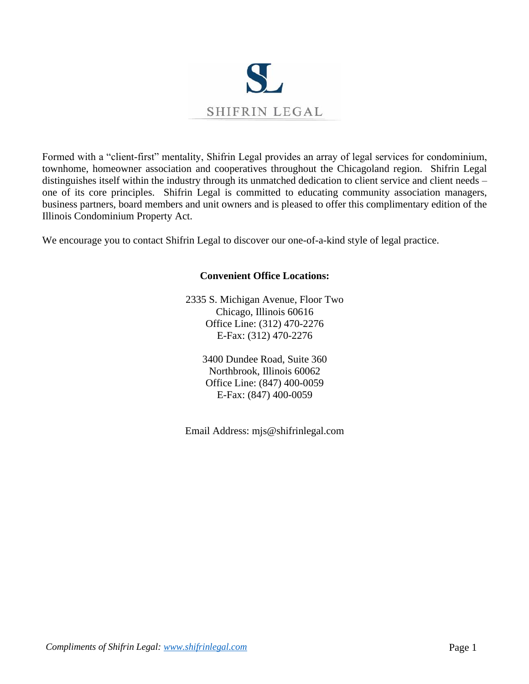

Formed with a "client-first" mentality, Shifrin Legal provides an array of legal services for condominium, townhome, homeowner association and cooperatives throughout the Chicagoland region. Shifrin Legal distinguishes itself within the industry through its unmatched dedication to client service and client needs – one of its core principles. Shifrin Legal is committed to educating community association managers, business partners, board members and unit owners and is pleased to offer this complimentary edition of the Illinois Condominium Property Act.

We encourage you to contact Shifrin Legal to discover our one-of-a-kind style of legal practice.

# **Convenient Office Locations:**

2335 S. Michigan Avenue, Floor Two Chicago, Illinois 60616 Office Line: (312) 470-2276 E-Fax: (312) 470-2276

> 3400 Dundee Road, Suite 360 Northbrook, Illinois 60062 Office Line: (847) 400-0059 E-Fax: (847) 400-0059

Email Address: mjs@shifrinlegal.com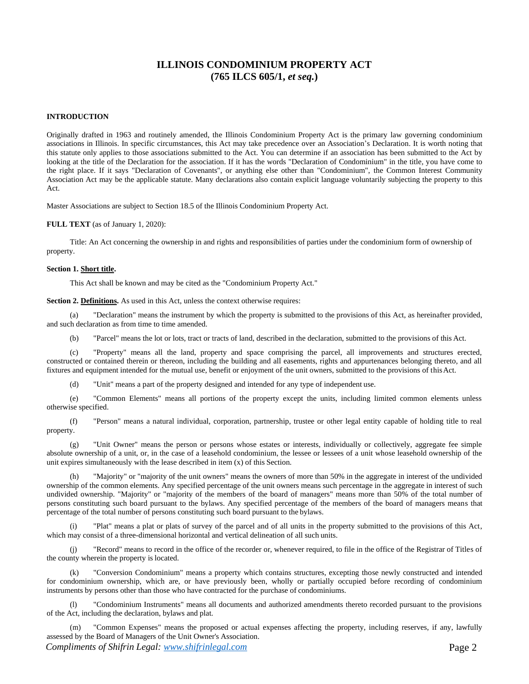# **ILLINOIS CONDOMINIUM PROPERTY ACT (765 ILCS 605/1,** *et seq.***)**

#### **INTRODUCTION**

Originally drafted in 1963 and routinely amended, the Illinois Condominium Property Act is the primary law governing condominium associations in Illinois. In specific circumstances, this Act may take precedence over an Association's Declaration. It is worth noting that this statute only applies to those associations submitted to the Act. You can determine if an association has been submitted to the Act by looking at the title of the Declaration for the association. If it has the words "Declaration of Condominium" in the title, you have come to the right place. If it says "Declaration of Covenants", or anything else other than "Condominium", the Common Interest Community Association Act may be the applicable statute. Many declarations also contain explicit language voluntarily subjecting the property to this Act.

Master Associations are subject to Section 18.5 of the Illinois Condominium Property Act.

**FULL TEXT** (as of January 1, 2020):

Title: An Act concerning the ownership in and rights and responsibilities of parties under the condominium form of ownership of property.

#### **Section 1. Short title.**

This Act shall be known and may be cited as the "Condominium Property Act."

**Section 2. Definitions.** As used in this Act, unless the context otherwise requires:

(a) "Declaration" means the instrument by which the property is submitted to the provisions of this Act, as hereinafter provided, and such declaration as from time to time amended.

(b) "Parcel" means the lot or lots, tract or tracts of land, described in the declaration, submitted to the provisions of this Act.

(c) "Property" means all the land, property and space comprising the parcel, all improvements and structures erected, constructed or contained therein or thereon, including the building and all easements, rights and appurtenances belonging thereto, and all fixtures and equipment intended for the mutual use, benefit or enjoyment of the unit owners, submitted to the provisions of thisAct.

(d) "Unit" means a part of the property designed and intended for any type of independent use.

(e) "Common Elements" means all portions of the property except the units, including limited common elements unless otherwise specified.

(f) "Person" means a natural individual, corporation, partnership, trustee or other legal entity capable of holding title to real property.

(g) "Unit Owner" means the person or persons whose estates or interests, individually or collectively, aggregate fee simple absolute ownership of a unit, or, in the case of a leasehold condominium, the lessee or lessees of a unit whose leasehold ownership of the unit expires simultaneously with the lease described in item (x) of this Section.

(h) "Majority" or "majority of the unit owners" means the owners of more than 50% in the aggregate in interest of the undivided ownership of the common elements. Any specified percentage of the unit owners means such percentage in the aggregate in interest of such undivided ownership. "Majority" or "majority of the members of the board of managers" means more than 50% of the total number of persons constituting such board pursuant to the bylaws. Any specified percentage of the members of the board of managers means that percentage of the total number of persons constituting such board pursuant to the bylaws.

(i) "Plat" means a plat or plats of survey of the parcel and of all units in the property submitted to the provisions of this Act, which may consist of a three-dimensional horizontal and vertical delineation of all such units.

(j) "Record" means to record in the office of the recorder or, whenever required, to file in the office of the Registrar of Titles of the county wherein the property is located.

(k) "Conversion Condominium" means a property which contains structures, excepting those newly constructed and intended for condominium ownership, which are, or have previously been, wholly or partially occupied before recording of condominium instruments by persons other than those who have contracted for the purchase of condominiums.

(l) "Condominium Instruments" means all documents and authorized amendments thereto recorded pursuant to the provisions of the Act, including the declaration, bylaws and plat.

*Compliments of Shifrin Legal: www.shifrinlegal.com* **Page 2** (m) "Common Expenses" means the proposed or actual expenses affecting the property, including reserves, if any, lawfully assessed by the Board of Managers of the Unit Owner's Association.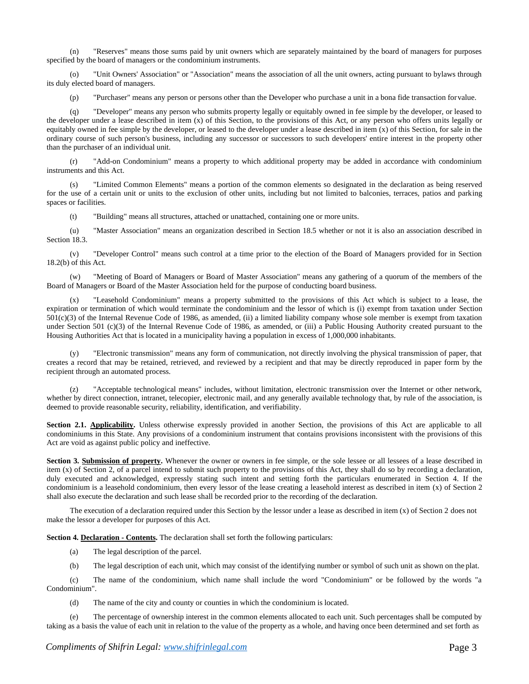(n) "Reserves" means those sums paid by unit owners which are separately maintained by the board of managers for purposes specified by the board of managers or the condominium instruments.

(o) "Unit Owners' Association" or "Association" means the association of all the unit owners, acting pursuant to bylaws through its duly elected board of managers.

(p) "Purchaser" means any person or persons other than the Developer who purchase a unit in a bona fide transaction forvalue.

(q) "Developer" means any person who submits property legally or equitably owned in fee simple by the developer, or leased to the developer under a lease described in item (x) of this Section, to the provisions of this Act, or any person who offers units legally or equitably owned in fee simple by the developer, or leased to the developer under a lease described in item  $(x)$  of this Section, for sale in the ordinary course of such person's business, including any successor or successors to such developers' entire interest in the property other than the purchaser of an individual unit.

(r) "Add-on Condominium" means a property to which additional property may be added in accordance with condominium instruments and this Act.

(s) "Limited Common Elements" means a portion of the common elements so designated in the declaration as being reserved for the use of a certain unit or units to the exclusion of other units, including but not limited to balconies, terraces, patios and parking spaces or facilities.

(t) "Building" means all structures, attached or unattached, containing one or more units.

(u) "Master Association" means an organization described in Section 18.5 whether or not it is also an association described in Section 18.3.

(v) "Developer Control" means such control at a time prior to the election of the Board of Managers provided for in Section 18.2(b) of this Act.

(w) "Meeting of Board of Managers or Board of Master Association" means any gathering of a quorum of the members of the Board of Managers or Board of the Master Association held for the purpose of conducting board business.

"Leasehold Condominium" means a property submitted to the provisions of this Act which is subject to a lease, the expiration or termination of which would terminate the condominium and the lessor of which is (i) exempt from taxation under Section 501(c)(3) of the Internal Revenue Code of 1986, as amended, (ii) a limited liability company whose sole member is exempt from taxation under Section 501 (c)(3) of the Internal Revenue Code of 1986, as amended, or (iii) a Public Housing Authority created pursuant to the Housing Authorities Act that is located in a municipality having a population in excess of 1,000,000 inhabitants.

(y) "Electronic transmission" means any form of communication, not directly involving the physical transmission of paper, that creates a record that may be retained, retrieved, and reviewed by a recipient and that may be directly reproduced in paper form by the recipient through an automated process.

(z) "Acceptable technological means" includes, without limitation, electronic transmission over the Internet or other network, whether by direct connection, intranet, telecopier, electronic mail, and any generally available technology that, by rule of the association, is deemed to provide reasonable security, reliability, identification, and verifiability.

**Section 2.1. Applicability.** Unless otherwise expressly provided in another Section, the provisions of this Act are applicable to all condominiums in this State. Any provisions of a condominium instrument that contains provisions inconsistent with the provisions of this Act are void as against public policy and ineffective.

**Section 3. Submission of property.** Whenever the owner or owners in fee simple, or the sole lessee or all lessees of a lease described in item (x) of Section 2, of a parcel intend to submit such property to the provisions of this Act, they shall do so by recording a declaration, duly executed and acknowledged, expressly stating such intent and setting forth the particulars enumerated in Section 4. If the condominium is a leasehold condominium, then every lessor of the lease creating a leasehold interest as described in item (x) of Section 2 shall also execute the declaration and such lease shall be recorded prior to the recording of the declaration.

The execution of a declaration required under this Section by the lessor under a lease as described in item (x) of Section 2 does not make the lessor a developer for purposes of this Act.

**Section 4. Declaration - Contents.** The declaration shall set forth the following particulars:

- (a) The legal description of the parcel.
- (b) The legal description of each unit, which may consist of the identifying number or symbol of such unit as shown on the plat.

(c) The name of the condominium, which name shall include the word "Condominium" or be followed by the words "a Condominium".

(d) The name of the city and county or counties in which the condominium is located.

The percentage of ownership interest in the common elements allocated to each unit. Such percentages shall be computed by taking as a basis the value of each unit in relation to the value of the property as a whole, and having once been determined and set forth as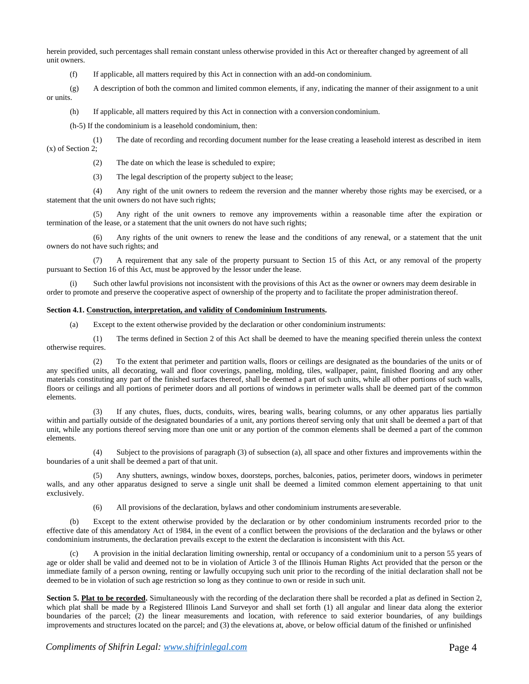herein provided, such percentages shall remain constant unless otherwise provided in this Act or thereafter changed by agreement of all unit owners.

(f) If applicable, all matters required by this Act in connection with an add-on condominium.

(g) A description of both the common and limited common elements, if any, indicating the manner of their assignment to a unit or units.

(h) If applicable, all matters required by this Act in connection with a conversion condominium.

(h-5) If the condominium is a leasehold condominium, then:

(1) The date of recording and recording document number for the lease creating a leasehold interest as described in item (x) of Section 2;

(2) The date on which the lease is scheduled to expire;

(3) The legal description of the property subject to the lease;

(4) Any right of the unit owners to redeem the reversion and the manner whereby those rights may be exercised, or a statement that the unit owners do not have such rights;

(5) Any right of the unit owners to remove any improvements within a reasonable time after the expiration or termination of the lease, or a statement that the unit owners do not have such rights;

(6) Any rights of the unit owners to renew the lease and the conditions of any renewal, or a statement that the unit owners do not have such rights; and

(7) A requirement that any sale of the property pursuant to Section 15 of this Act, or any removal of the property pursuant to Section 16 of this Act, must be approved by the lessor under the lease.

Such other lawful provisions not inconsistent with the provisions of this Act as the owner or owners may deem desirable in order to promote and preserve the cooperative aspect of ownership of the property and to facilitate the proper administration thereof.

#### **Section 4.1. Construction, interpretation, and validity of Condominium Instruments.**

(a) Except to the extent otherwise provided by the declaration or other condominium instruments:

(1) The terms defined in Section 2 of this Act shall be deemed to have the meaning specified therein unless the context otherwise requires.

(2) To the extent that perimeter and partition walls, floors or ceilings are designated as the boundaries of the units or of any specified units, all decorating, wall and floor coverings, paneling, molding, tiles, wallpaper, paint, finished flooring and any other materials constituting any part of the finished surfaces thereof, shall be deemed a part of such units, while all other portions of such walls, floors or ceilings and all portions of perimeter doors and all portions of windows in perimeter walls shall be deemed part of the common elements.

(3) If any chutes, flues, ducts, conduits, wires, bearing walls, bearing columns, or any other apparatus lies partially within and partially outside of the designated boundaries of a unit, any portions thereof serving only that unit shall be deemed a part of that unit, while any portions thereof serving more than one unit or any portion of the common elements shall be deemed a part of the common elements.

(4) Subject to the provisions of paragraph (3) of subsection (a), all space and other fixtures and improvements within the boundaries of a unit shall be deemed a part of that unit.

(5) Any shutters, awnings, window boxes, doorsteps, porches, balconies, patios, perimeter doors, windows in perimeter walls, and any other apparatus designed to serve a single unit shall be deemed a limited common element appertaining to that unit exclusively.

(6) All provisions of the declaration, bylaws and other condominium instruments areseverable.

(b) Except to the extent otherwise provided by the declaration or by other condominium instruments recorded prior to the effective date of this amendatory Act of 1984, in the event of a conflict between the provisions of the declaration and the bylaws or other condominium instruments, the declaration prevails except to the extent the declaration is inconsistent with this Act.

A provision in the initial declaration limiting ownership, rental or occupancy of a condominium unit to a person 55 years of age or older shall be valid and deemed not to be in violation of Article 3 of the Illinois Human Rights Act provided that the person or the immediate family of a person owning, renting or lawfully occupying such unit prior to the recording of the initial declaration shall not be deemed to be in violation of such age restriction so long as they continue to own or reside in such unit.

Section 5. Plat to be recorded. Simultaneously with the recording of the declaration there shall be recorded a plat as defined in Section 2, which plat shall be made by a Registered Illinois Land Surveyor and shall set forth (1) all angular and linear data along the exterior boundaries of the parcel; (2) the linear measurements and location, with reference to said exterior boundaries, of any buildings improvements and structures located on the parcel; and (3) the elevations at, above, or below official datum of the finished or unfinished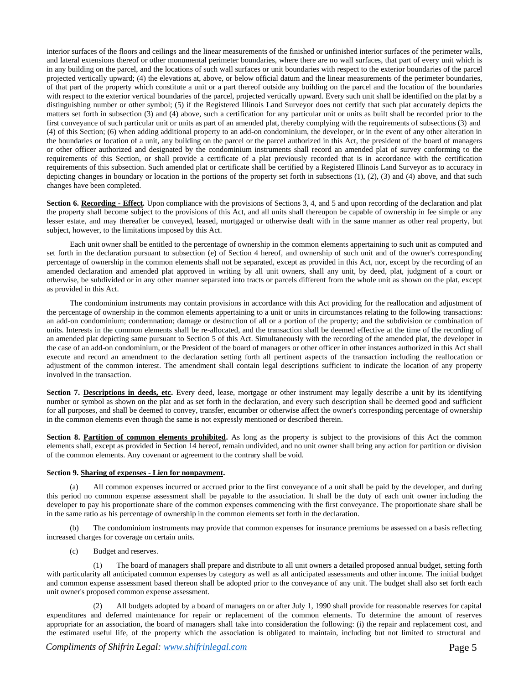interior surfaces of the floors and ceilings and the linear measurements of the finished or unfinished interior surfaces of the perimeter walls, and lateral extensions thereof or other monumental perimeter boundaries, where there are no wall surfaces, that part of every unit which is in any building on the parcel, and the locations of such wall surfaces or unit boundaries with respect to the exterior boundaries of the parcel projected vertically upward; (4) the elevations at, above, or below official datum and the linear measurements of the perimeter boundaries, of that part of the property which constitute a unit or a part thereof outside any building on the parcel and the location of the boundaries with respect to the exterior vertical boundaries of the parcel, projected vertically upward. Every such unit shall be identified on the plat by a distinguishing number or other symbol; (5) if the Registered Illinois Land Surveyor does not certify that such plat accurately depicts the matters set forth in subsection (3) and (4) above, such a certification for any particular unit or units as built shall be recorded prior to the first conveyance of such particular unit or units as part of an amended plat, thereby complying with the requirements of subsections (3) and (4) of this Section; (6) when adding additional property to an add-on condominium, the developer, or in the event of any other alteration in the boundaries or location of a unit, any building on the parcel or the parcel authorized in this Act, the president of the board of managers or other officer authorized and designated by the condominium instruments shall record an amended plat of survey conforming to the requirements of this Section, or shall provide a certificate of a plat previously recorded that is in accordance with the certification requirements of this subsection. Such amended plat or certificate shall be certified by a Registered Illinois Land Surveyor as to accuracy in depicting changes in boundary or location in the portions of the property set forth in subsections (1), (2), (3) and (4) above, and that such changes have been completed.

**Section 6. Recording - Effect.** Upon compliance with the provisions of Sections 3, 4, and 5 and upon recording of the declaration and plat the property shall become subject to the provisions of this Act, and all units shall thereupon be capable of ownership in fee simple or any lesser estate, and may thereafter be conveyed, leased, mortgaged or otherwise dealt with in the same manner as other real property, but subject, however, to the limitations imposed by this Act.

Each unit owner shall be entitled to the percentage of ownership in the common elements appertaining to such unit as computed and set forth in the declaration pursuant to subsection (e) of Section 4 hereof, and ownership of such unit and of the owner's corresponding percentage of ownership in the common elements shall not be separated, except as provided in this Act, nor, except by the recording of an amended declaration and amended plat approved in writing by all unit owners, shall any unit, by deed, plat, judgment of a court or otherwise, be subdivided or in any other manner separated into tracts or parcels different from the whole unit as shown on the plat, except as provided in this Act.

The condominium instruments may contain provisions in accordance with this Act providing for the reallocation and adjustment of the percentage of ownership in the common elements appertaining to a unit or units in circumstances relating to the following transactions: an add-on condominium; condemnation; damage or destruction of all or a portion of the property; and the subdivision or combination of units. Interests in the common elements shall be re-allocated, and the transaction shall be deemed effective at the time of the recording of an amended plat depicting same pursuant to Section 5 of this Act. Simultaneously with the recording of the amended plat, the developer in the case of an add-on condominium, or the President of the board of managers or other officer in other instances authorized in this Act shall execute and record an amendment to the declaration setting forth all pertinent aspects of the transaction including the reallocation or adjustment of the common interest. The amendment shall contain legal descriptions sufficient to indicate the location of any property involved in the transaction.

**Section 7. Descriptions in deeds, etc.** Every deed, lease, mortgage or other instrument may legally describe a unit by its identifying number or symbol as shown on the plat and as set forth in the declaration, and every such description shall be deemed good and sufficient for all purposes, and shall be deemed to convey, transfer, encumber or otherwise affect the owner's corresponding percentage of ownership in the common elements even though the same is not expressly mentioned or described therein.

**Section 8. Partition of common elements prohibited.** As long as the property is subject to the provisions of this Act the common elements shall, except as provided in Section 14 hereof, remain undivided, and no unit owner shall bring any action for partition or division of the common elements. Any covenant or agreement to the contrary shall be void.

# **Section 9. Sharing of expenses - Lien for nonpayment.**

All common expenses incurred or accrued prior to the first conveyance of a unit shall be paid by the developer, and during this period no common expense assessment shall be payable to the association. It shall be the duty of each unit owner including the developer to pay his proportionate share of the common expenses commencing with the first conveyance. The proportionate share shall be in the same ratio as his percentage of ownership in the common elements set forth in the declaration.

The condominium instruments may provide that common expenses for insurance premiums be assessed on a basis reflecting increased charges for coverage on certain units.

(c) Budget and reserves.

(1) The board of managers shall prepare and distribute to all unit owners a detailed proposed annual budget, setting forth with particularity all anticipated common expenses by category as well as all anticipated assessments and other income. The initial budget and common expense assessment based thereon shall be adopted prior to the conveyance of any unit. The budget shall also set forth each unit owner's proposed common expense assessment.

(2) All budgets adopted by a board of managers on or after July 1, 1990 shall provide for reasonable reserves for capital expenditures and deferred maintenance for repair or replacement of the common elements. To determine the amount of reserves appropriate for an association, the board of managers shall take into consideration the following: (i) the repair and replacement cost, and the estimated useful life, of the property which the association is obligated to maintain, including but not limited to structural and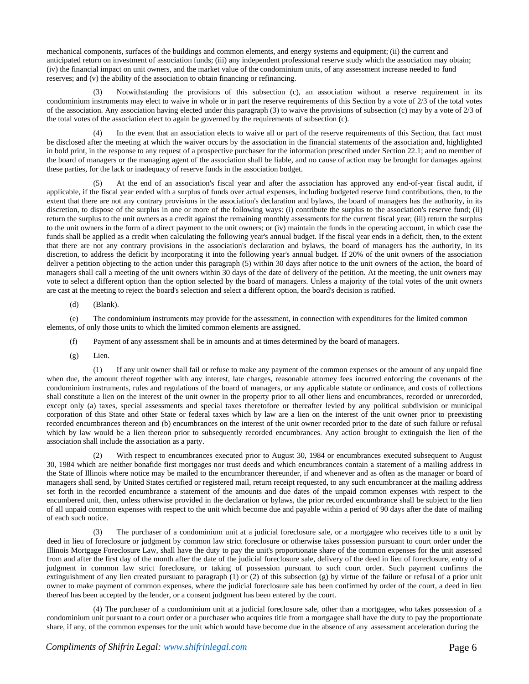mechanical components, surfaces of the buildings and common elements, and energy systems and equipment; (ii) the current and anticipated return on investment of association funds; (iii) any independent professional reserve study which the association may obtain; (iv) the financial impact on unit owners, and the market value of the condominium units, of any assessment increase needed to fund reserves; and (v) the ability of the association to obtain financing or refinancing.

(3) Notwithstanding the provisions of this subsection (c), an association without a reserve requirement in its condominium instruments may elect to waive in whole or in part the reserve requirements of this Section by a vote of 2/3 of the total votes of the association. Any association having elected under this paragraph (3) to waive the provisions of subsection (c) may by a vote of 2/3 of the total votes of the association elect to again be governed by the requirements of subsection (c).

(4) In the event that an association elects to waive all or part of the reserve requirements of this Section, that fact must be disclosed after the meeting at which the waiver occurs by the association in the financial statements of the association and, highlighted in bold print, in the response to any request of a prospective purchaser for the information prescribed under Section 22.1; and no member of the board of managers or the managing agent of the association shall be liable, and no cause of action may be brought for damages against these parties, for the lack or inadequacy of reserve funds in the association budget.

(5) At the end of an association's fiscal year and after the association has approved any end-of-year fiscal audit, if applicable, if the fiscal year ended with a surplus of funds over actual expenses, including budgeted reserve fund contributions, then, to the extent that there are not any contrary provisions in the association's declaration and bylaws, the board of managers has the authority, in its discretion, to dispose of the surplus in one or more of the following ways: (i) contribute the surplus to the association's reserve fund; (ii) return the surplus to the unit owners as a credit against the remaining monthly assessments for the current fiscal year; (iii) return the surplus to the unit owners in the form of a direct payment to the unit owners; or (iv) maintain the funds in the operating account, in which case the funds shall be applied as a credit when calculating the following year's annual budget. If the fiscal year ends in a deficit, then, to the extent that there are not any contrary provisions in the association's declaration and bylaws, the board of managers has the authority, in its discretion, to address the deficit by incorporating it into the following year's annual budget. If 20% of the unit owners of the association deliver a petition objecting to the action under this paragraph (5) within 30 days after notice to the unit owners of the action, the board of managers shall call a meeting of the unit owners within 30 days of the date of delivery of the petition. At the meeting, the unit owners may vote to select a different option than the option selected by the board of managers. Unless a majority of the total votes of the unit owners are cast at the meeting to reject the board's selection and select a different option, the board's decision is ratified.

(d) (Blank).

(e) The condominium instruments may provide for the assessment, in connection with expenditures for the limited common elements, of only those units to which the limited common elements are assigned.

(f) Payment of any assessment shall be in amounts and at times determined by the board of managers.

 $(g)$  Lien.

(1) If any unit owner shall fail or refuse to make any payment of the common expenses or the amount of any unpaid fine when due, the amount thereof together with any interest, late charges, reasonable attorney fees incurred enforcing the covenants of the condominium instruments, rules and regulations of the board of managers, or any applicable statute or ordinance, and costs of collections shall constitute a lien on the interest of the unit owner in the property prior to all other liens and encumbrances, recorded or unrecorded, except only (a) taxes, special assessments and special taxes theretofore or thereafter levied by any political subdivision or municipal corporation of this State and other State or federal taxes which by law are a lien on the interest of the unit owner prior to preexisting recorded encumbrances thereon and (b) encumbrances on the interest of the unit owner recorded prior to the date of such failure or refusal which by law would be a lien thereon prior to subsequently recorded encumbrances. Any action brought to extinguish the lien of the association shall include the association as a party.

With respect to encumbrances executed prior to August 30, 1984 or encumbrances executed subsequent to August 30, 1984 which are neither bonafide first mortgages nor trust deeds and which encumbrances contain a statement of a mailing address in the State of Illinois where notice may be mailed to the encumbrancer thereunder, if and whenever and as often as the manager or board of managers shall send, by United States certified or registered mail, return receipt requested, to any such encumbrancer at the mailing address set forth in the recorded encumbrance a statement of the amounts and due dates of the unpaid common expenses with respect to the encumbered unit, then, unless otherwise provided in the declaration or bylaws, the prior recorded encumbrance shall be subject to the lien of all unpaid common expenses with respect to the unit which become due and payable within a period of 90 days after the date of mailing of each such notice.

(3) The purchaser of a condominium unit at a judicial foreclosure sale, or a mortgagee who receives title to a unit by deed in lieu of foreclosure or judgment by common law strict foreclosure or otherwise takes possession pursuant to court order under the Illinois Mortgage Foreclosure Law, shall have the duty to pay the unit's proportionate share of the common expenses for the unit assessed from and after the first day of the month after the date of the judicial foreclosure sale, delivery of the deed in lieu of foreclosure, entry of a judgment in common law strict foreclosure, or taking of possession pursuant to such court order. Such payment confirms the extinguishment of any lien created pursuant to paragraph (1) or (2) of this subsection (g) by virtue of the failure or refusal of a prior unit owner to make payment of common expenses, where the judicial foreclosure sale has been confirmed by order of the court, a deed in lieu thereof has been accepted by the lender, or a consent judgment has been entered by the court.

(4) The purchaser of a condominium unit at a judicial foreclosure sale, other than a mortgagee, who takes possession of a condominium unit pursuant to a court order or a purchaser who acquires title from a mortgagee shall have the duty to pay the proportionate share, if any, of the common expenses for the unit which would have become due in the absence of any assessment acceleration during the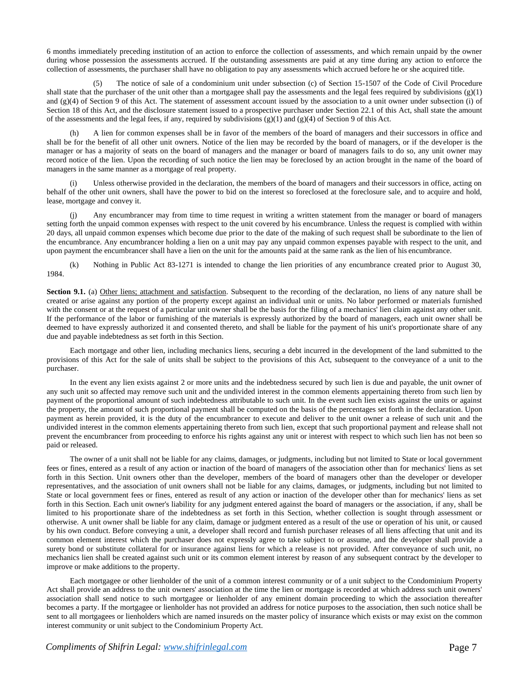6 months immediately preceding institution of an action to enforce the collection of assessments, and which remain unpaid by the owner during whose possession the assessments accrued. If the outstanding assessments are paid at any time during any action to enforce the collection of assessments, the purchaser shall have no obligation to pay any assessments which accrued before he or she acquired title.

(5) The notice of sale of a condominium unit under subsection (c) of Section 15-1507 of the Code of Civil Procedure shall state that the purchaser of the unit other than a mortgagee shall pay the assessments and the legal fees required by subdivisions  $(g)(1)$ and  $(g)(4)$  of Section 9 of this Act. The statement of assessment account issued by the association to a unit owner under subsection (i) of Section 18 of this Act, and the disclosure statement issued to a prospective purchaser under Section 22.1 of this Act, shall state the amount of the assessments and the legal fees, if any, required by subdivisions (g)(1) and (g)(4) of Section 9 of this Act.

(h) A lien for common expenses shall be in favor of the members of the board of managers and their successors in office and shall be for the benefit of all other unit owners. Notice of the lien may be recorded by the board of managers, or if the developer is the manager or has a majority of seats on the board of managers and the manager or board of managers fails to do so, any unit owner may record notice of the lien. Upon the recording of such notice the lien may be foreclosed by an action brought in the name of the board of managers in the same manner as a mortgage of real property.

(i) Unless otherwise provided in the declaration, the members of the board of managers and their successors in office, acting on behalf of the other unit owners, shall have the power to bid on the interest so foreclosed at the foreclosure sale, and to acquire and hold, lease, mortgage and convey it.

Any encumbrancer may from time to time request in writing a written statement from the manager or board of managers setting forth the unpaid common expenses with respect to the unit covered by his encumbrance. Unless the request is complied with within 20 days, all unpaid common expenses which become due prior to the date of the making of such request shall be subordinate to the lien of the encumbrance. Any encumbrancer holding a lien on a unit may pay any unpaid common expenses payable with respect to the unit, and upon payment the encumbrancer shall have a lien on the unit for the amounts paid at the same rank as the lien of his encumbrance.

(k) Nothing in Public Act 83-1271 is intended to change the lien priorities of any encumbrance created prior to August 30, 1984.

**Section 9.1.** (a) Other liens; attachment and satisfaction. Subsequent to the recording of the declaration, no liens of any nature shall be created or arise against any portion of the property except against an individual unit or units. No labor performed or materials furnished with the consent or at the request of a particular unit owner shall be the basis for the filing of a mechanics' lien claim against any other unit. If the performance of the labor or furnishing of the materials is expressly authorized by the board of managers, each unit owner shall be deemed to have expressly authorized it and consented thereto, and shall be liable for the payment of his unit's proportionate share of any due and payable indebtedness as set forth in this Section.

Each mortgage and other lien, including mechanics liens, securing a debt incurred in the development of the land submitted to the provisions of this Act for the sale of units shall be subject to the provisions of this Act, subsequent to the conveyance of a unit to the purchaser.

In the event any lien exists against 2 or more units and the indebtedness secured by such lien is due and payable, the unit owner of any such unit so affected may remove such unit and the undivided interest in the common elements appertaining thereto from such lien by payment of the proportional amount of such indebtedness attributable to such unit. In the event such lien exists against the units or against the property, the amount of such proportional payment shall be computed on the basis of the percentages set forth in the declaration. Upon payment as herein provided, it is the duty of the encumbrancer to execute and deliver to the unit owner a release of such unit and the undivided interest in the common elements appertaining thereto from such lien, except that such proportional payment and release shall not prevent the encumbrancer from proceeding to enforce his rights against any unit or interest with respect to which such lien has not been so paid or released.

The owner of a unit shall not be liable for any claims, damages, or judgments, including but not limited to State or local government fees or fines, entered as a result of any action or inaction of the board of managers of the association other than for mechanics' liens as set forth in this Section. Unit owners other than the developer, members of the board of managers other than the developer or developer representatives, and the association of unit owners shall not be liable for any claims, damages, or judgments, including but not limited to State or local government fees or fines, entered as result of any action or inaction of the developer other than for mechanics' liens as set forth in this Section. Each unit owner's liability for any judgment entered against the board of managers or the association, if any, shall be limited to his proportionate share of the indebtedness as set forth in this Section, whether collection is sought through assessment or otherwise. A unit owner shall be liable for any claim, damage or judgment entered as a result of the use or operation of his unit, or caused by his own conduct. Before conveying a unit, a developer shall record and furnish purchaser releases of all liens affecting that unit and its common element interest which the purchaser does not expressly agree to take subject to or assume, and the developer shall provide a surety bond or substitute collateral for or insurance against liens for which a release is not provided. After conveyance of such unit, no mechanics lien shall be created against such unit or its common element interest by reason of any subsequent contract by the developer to improve or make additions to the property.

Each mortgagee or other lienholder of the unit of a common interest community or of a unit subject to the Condominium Property Act shall provide an address to the unit owners' association at the time the lien or mortgage is recorded at which address such unit owners' association shall send notice to such mortgagee or lienholder of any eminent domain proceeding to which the association thereafter becomes a party. If the mortgagee or lienholder has not provided an address for notice purposes to the association, then such notice shall be sent to all mortgagees or lienholders which are named insureds on the master policy of insurance which exists or may exist on the common interest community or unit subject to the Condominium Property Act.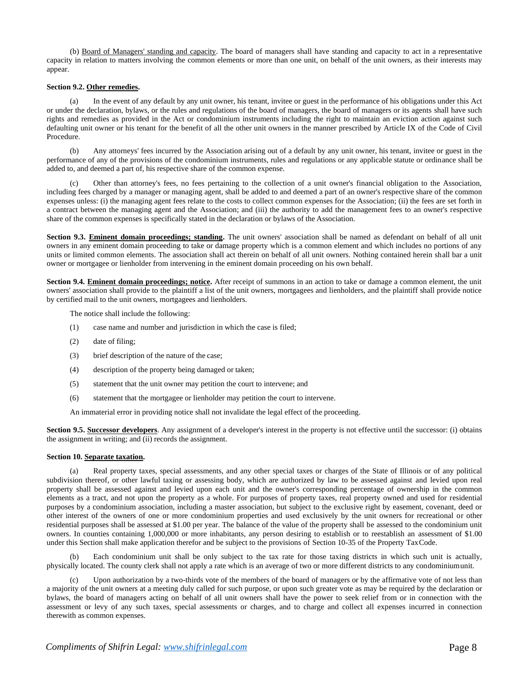(b) Board of Managers' standing and capacity. The board of managers shall have standing and capacity to act in a representative capacity in relation to matters involving the common elements or more than one unit, on behalf of the unit owners, as their interests may appear.

#### **Section 9.2. Other remedies.**

(a) In the event of any default by any unit owner, his tenant, invitee or guest in the performance of his obligations under this Act or under the declaration, bylaws, or the rules and regulations of the board of managers, the board of managers or its agents shall have such rights and remedies as provided in the Act or condominium instruments including the right to maintain an eviction action against such defaulting unit owner or his tenant for the benefit of all the other unit owners in the manner prescribed by Article IX of the Code of Civil Procedure.

(b) Any attorneys' fees incurred by the Association arising out of a default by any unit owner, his tenant, invitee or guest in the performance of any of the provisions of the condominium instruments, rules and regulations or any applicable statute or ordinance shall be added to, and deemed a part of, his respective share of the common expense.

(c) Other than attorney's fees, no fees pertaining to the collection of a unit owner's financial obligation to the Association, including fees charged by a manager or managing agent, shall be added to and deemed a part of an owner's respective share of the common expenses unless: (i) the managing agent fees relate to the costs to collect common expenses for the Association; (ii) the fees are set forth in a contract between the managing agent and the Association; and (iii) the authority to add the management fees to an owner's respective share of the common expenses is specifically stated in the declaration or bylaws of the Association.

**Section 9.3. Eminent domain proceedings; standing.** The unit owners' association shall be named as defendant on behalf of all unit owners in any eminent domain proceeding to take or damage property which is a common element and which includes no portions of any units or limited common elements. The association shall act therein on behalf of all unit owners. Nothing contained herein shall bar a unit owner or mortgagee or lienholder from intervening in the eminent domain proceeding on his own behalf.

**Section 9.4. Eminent domain proceedings; notice.** After receipt of summons in an action to take or damage a common element, the unit owners' association shall provide to the plaintiff a list of the unit owners, mortgagees and lienholders, and the plaintiff shall provide notice by certified mail to the unit owners, mortgagees and lienholders.

The notice shall include the following:

- (1) case name and number and jurisdiction in which the case is filed;
- (2) date of filing;
- (3) brief description of the nature of the case;
- (4) description of the property being damaged or taken;
- (5) statement that the unit owner may petition the court to intervene; and
- (6) statement that the mortgagee or lienholder may petition the court to intervene.

An immaterial error in providing notice shall not invalidate the legal effect of the proceeding.

**Section 9.5. Successor developers**. Any assignment of a developer's interest in the property is not effective until the successor: (i) obtains the assignment in writing; and (ii) records the assignment.

#### **Section 10. Separate taxation.**

(a) Real property taxes, special assessments, and any other special taxes or charges of the State of Illinois or of any political subdivision thereof, or other lawful taxing or assessing body, which are authorized by law to be assessed against and levied upon real property shall be assessed against and levied upon each unit and the owner's corresponding percentage of ownership in the common elements as a tract, and not upon the property as a whole. For purposes of property taxes, real property owned and used for residential purposes by a condominium association, including a master association, but subject to the exclusive right by easement, covenant, deed or other interest of the owners of one or more condominium properties and used exclusively by the unit owners for recreational or other residential purposes shall be assessed at \$1.00 per year. The balance of the value of the property shall be assessed to the condominium unit owners. In counties containing 1,000,000 or more inhabitants, any person desiring to establish or to reestablish an assessment of \$1.00 under this Section shall make application therefor and be subject to the provisions of Section 10-35 of the Property TaxCode.

(b) Each condominium unit shall be only subject to the tax rate for those taxing districts in which such unit is actually, physically located. The county clerk shall not apply a rate which is an average of two or more different districts to any condominiumunit.

(c) Upon authorization by a two-thirds vote of the members of the board of managers or by the affirmative vote of not less than a majority of the unit owners at a meeting duly called for such purpose, or upon such greater vote as may be required by the declaration or bylaws, the board of managers acting on behalf of all unit owners shall have the power to seek relief from or in connection with the assessment or levy of any such taxes, special assessments or charges, and to charge and collect all expenses incurred in connection therewith as common expenses.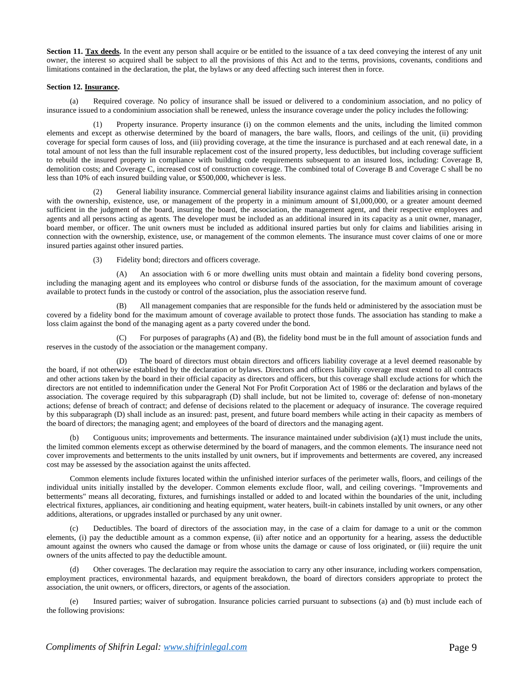Section 11. Tax deeds. In the event any person shall acquire or be entitled to the issuance of a tax deed conveying the interest of any unit owner, the interest so acquired shall be subject to all the provisions of this Act and to the terms, provisions, covenants, conditions and limitations contained in the declaration, the plat, the bylaws or any deed affecting such interest then in force.

# **Section 12. Insurance.**

(a) Required coverage. No policy of insurance shall be issued or delivered to a condominium association, and no policy of insurance issued to a condominium association shall be renewed, unless the insurance coverage under the policy includes the following:

Property insurance. Property insurance (i) on the common elements and the units, including the limited common elements and except as otherwise determined by the board of managers, the bare walls, floors, and ceilings of the unit, (ii) providing coverage for special form causes of loss, and (iii) providing coverage, at the time the insurance is purchased and at each renewal date, in a total amount of not less than the full insurable replacement cost of the insured property, less deductibles, but including coverage sufficient to rebuild the insured property in compliance with building code requirements subsequent to an insured loss, including: Coverage B, demolition costs; and Coverage C, increased cost of construction coverage. The combined total of Coverage B and Coverage C shall be no less than 10% of each insured building value, or \$500,000, whichever is less.

(2) General liability insurance. Commercial general liability insurance against claims and liabilities arising in connection with the ownership, existence, use, or management of the property in a minimum amount of \$1,000,000, or a greater amount deemed sufficient in the judgment of the board, insuring the board, the association, the management agent, and their respective employees and agents and all persons acting as agents. The developer must be included as an additional insured in its capacity as a unit owner, manager, board member, or officer. The unit owners must be included as additional insured parties but only for claims and liabilities arising in connection with the ownership, existence, use, or management of the common elements. The insurance must cover claims of one or more insured parties against other insured parties.

(3) Fidelity bond; directors and officers coverage.

(A) An association with 6 or more dwelling units must obtain and maintain a fidelity bond covering persons, including the managing agent and its employees who control or disburse funds of the association, for the maximum amount of coverage available to protect funds in the custody or control of the association, plus the association reserve fund.

(B) All management companies that are responsible for the funds held or administered by the association must be covered by a fidelity bond for the maximum amount of coverage available to protect those funds. The association has standing to make a loss claim against the bond of the managing agent as a party covered under the bond.

(C) For purposes of paragraphs (A) and (B), the fidelity bond must be in the full amount of association funds and reserves in the custody of the association or the management company.

(D) The board of directors must obtain directors and officers liability coverage at a level deemed reasonable by the board, if not otherwise established by the declaration or bylaws. Directors and officers liability coverage must extend to all contracts and other actions taken by the board in their official capacity as directors and officers, but this coverage shall exclude actions for which the directors are not entitled to indemnification under the General Not For Profit Corporation Act of 1986 or the declaration and bylaws of the association. The coverage required by this subparagraph (D) shall include, but not be limited to, coverage of: defense of non-monetary actions; defense of breach of contract; and defense of decisions related to the placement or adequacy of insurance. The coverage required by this subparagraph (D) shall include as an insured: past, present, and future board members while acting in their capacity as members of the board of directors; the managing agent; and employees of the board of directors and the managing agent.

(b) Contiguous units; improvements and betterments. The insurance maintained under subdivision (a)(1) must include the units, the limited common elements except as otherwise determined by the board of managers, and the common elements. The insurance need not cover improvements and betterments to the units installed by unit owners, but if improvements and betterments are covered, any increased cost may be assessed by the association against the units affected.

Common elements include fixtures located within the unfinished interior surfaces of the perimeter walls, floors, and ceilings of the individual units initially installed by the developer. Common elements exclude floor, wall, and ceiling coverings. "Improvements and betterments" means all decorating, fixtures, and furnishings installed or added to and located within the boundaries of the unit, including electrical fixtures, appliances, air conditioning and heating equipment, water heaters, built-in cabinets installed by unit owners, or any other additions, alterations, or upgrades installed or purchased by any unit owner.

Deductibles. The board of directors of the association may, in the case of a claim for damage to a unit or the common elements, (i) pay the deductible amount as a common expense, (ii) after notice and an opportunity for a hearing, assess the deductible amount against the owners who caused the damage or from whose units the damage or cause of loss originated, or (iii) require the unit owners of the units affected to pay the deductible amount.

(d) Other coverages. The declaration may require the association to carry any other insurance, including workers compensation, employment practices, environmental hazards, and equipment breakdown, the board of directors considers appropriate to protect the association, the unit owners, or officers, directors, or agents of the association.

(e) Insured parties; waiver of subrogation. Insurance policies carried pursuant to subsections (a) and (b) must include each of the following provisions: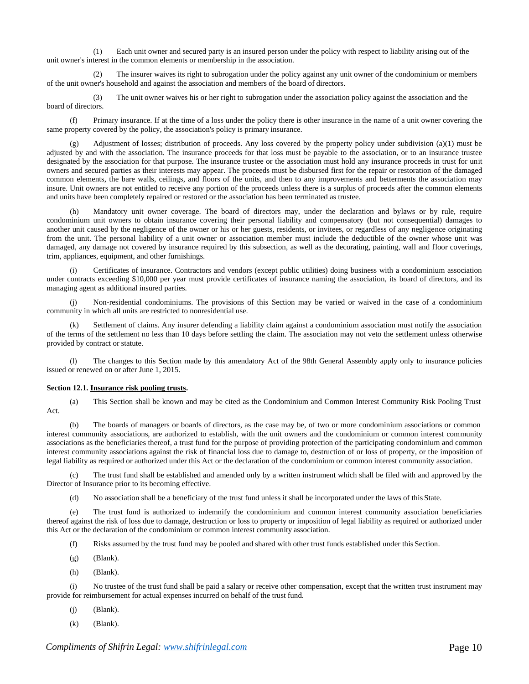(1) Each unit owner and secured party is an insured person under the policy with respect to liability arising out of the unit owner's interest in the common elements or membership in the association.

(2) The insurer waives its right to subrogation under the policy against any unit owner of the condominium or members of the unit owner's household and against the association and members of the board of directors.

(3) The unit owner waives his or her right to subrogation under the association policy against the association and the board of directors.

(f) Primary insurance. If at the time of a loss under the policy there is other insurance in the name of a unit owner covering the same property covered by the policy, the association's policy is primary insurance.

Adjustment of losses; distribution of proceeds. Any loss covered by the property policy under subdivision  $(a)(1)$  must be adjusted by and with the association. The insurance proceeds for that loss must be payable to the association, or to an insurance trustee designated by the association for that purpose. The insurance trustee or the association must hold any insurance proceeds in trust for unit owners and secured parties as their interests may appear. The proceeds must be disbursed first for the repair or restoration of the damaged common elements, the bare walls, ceilings, and floors of the units, and then to any improvements and betterments the association may insure. Unit owners are not entitled to receive any portion of the proceeds unless there is a surplus of proceeds after the common elements and units have been completely repaired or restored or the association has been terminated as trustee.

(h) Mandatory unit owner coverage. The board of directors may, under the declaration and bylaws or by rule, require condominium unit owners to obtain insurance covering their personal liability and compensatory (but not consequential) damages to another unit caused by the negligence of the owner or his or her guests, residents, or invitees, or regardless of any negligence originating from the unit. The personal liability of a unit owner or association member must include the deductible of the owner whose unit was damaged, any damage not covered by insurance required by this subsection, as well as the decorating, painting, wall and floor coverings, trim, appliances, equipment, and other furnishings.

Certificates of insurance. Contractors and vendors (except public utilities) doing business with a condominium association under contracts exceeding \$10,000 per year must provide certificates of insurance naming the association, its board of directors, and its managing agent as additional insured parties.

(j) Non-residential condominiums. The provisions of this Section may be varied or waived in the case of a condominium community in which all units are restricted to nonresidential use.

Settlement of claims. Any insurer defending a liability claim against a condominium association must notify the association of the terms of the settlement no less than 10 days before settling the claim. The association may not veto the settlement unless otherwise provided by contract or statute.

(l) The changes to this Section made by this amendatory Act of the 98th General Assembly apply only to insurance policies issued or renewed on or after June 1, 2015.

#### **Section 12.1. Insurance risk pooling trusts.**

(a) This Section shall be known and may be cited as the Condominium and Common Interest Community Risk Pooling Trust Act.

(b) The boards of managers or boards of directors, as the case may be, of two or more condominium associations or common interest community associations, are authorized to establish, with the unit owners and the condominium or common interest community associations as the beneficiaries thereof, a trust fund for the purpose of providing protection of the participating condominium and common interest community associations against the risk of financial loss due to damage to, destruction of or loss of property, or the imposition of legal liability as required or authorized under this Act or the declaration of the condominium or common interest community association.

(c) The trust fund shall be established and amended only by a written instrument which shall be filed with and approved by the Director of Insurance prior to its becoming effective.

(d) No association shall be a beneficiary of the trust fund unless it shall be incorporated under the laws of this State.

(e) The trust fund is authorized to indemnify the condominium and common interest community association beneficiaries thereof against the risk of loss due to damage, destruction or loss to property or imposition of legal liability as required or authorized under this Act or the declaration of the condominium or common interest community association.

- (f) Risks assumed by the trust fund may be pooled and shared with other trust funds established under this Section.
- (g) (Blank).
- (h) (Blank).

(i) No trustee of the trust fund shall be paid a salary or receive other compensation, except that the written trust instrument may provide for reimbursement for actual expenses incurred on behalf of the trust fund.

- $(i)$  (Blank).
- (k) (Blank).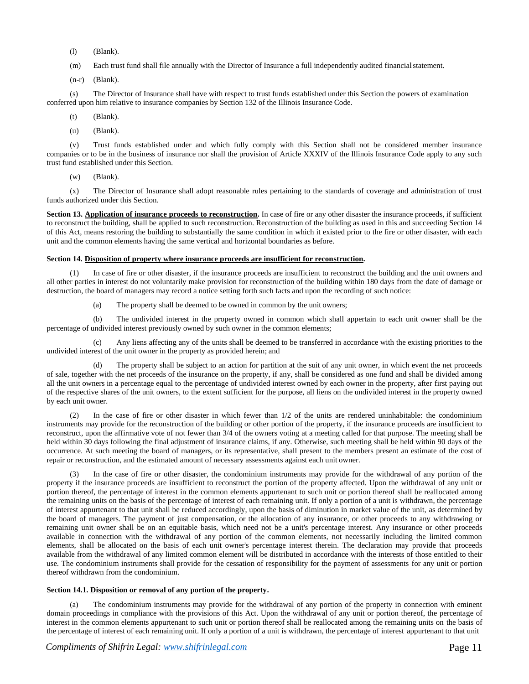- (l) (Blank).
- (m) Each trust fund shall file annually with the Director of Insurance a full independently audited financialstatement.
- (n-r) (Blank).

(s) The Director of Insurance shall have with respect to trust funds established under this Section the powers of examination conferred upon him relative to insurance companies by Section 132 of the Illinois Insurance Code.

- (t) (Blank).
- (u) (Blank).

(v) Trust funds established under and which fully comply with this Section shall not be considered member insurance companies or to be in the business of insurance nor shall the provision of Article XXXIV of the Illinois Insurance Code apply to any such trust fund established under this Section.

(w) (Blank).

(x) The Director of Insurance shall adopt reasonable rules pertaining to the standards of coverage and administration of trust funds authorized under this Section.

Section 13. Application of insurance proceeds to reconstruction. In case of fire or any other disaster the insurance proceeds, if sufficient to reconstruct the building, shall be applied to such reconstruction. Reconstruction of the building as used in this and succeeding Section 14 of this Act, means restoring the building to substantially the same condition in which it existed prior to the fire or other disaster, with each unit and the common elements having the same vertical and horizontal boundaries as before.

#### **Section 14. Disposition of property where insurance proceeds are insufficient for reconstruction.**

In case of fire or other disaster, if the insurance proceeds are insufficient to reconstruct the building and the unit owners and all other parties in interest do not voluntarily make provision for reconstruction of the building within 180 days from the date of damage or destruction, the board of managers may record a notice setting forth such facts and upon the recording of such notice:

(a) The property shall be deemed to be owned in common by the unit owners;

(b) The undivided interest in the property owned in common which shall appertain to each unit owner shall be the percentage of undivided interest previously owned by such owner in the common elements;

(c) Any liens affecting any of the units shall be deemed to be transferred in accordance with the existing priorities to the undivided interest of the unit owner in the property as provided herein; and

(d) The property shall be subject to an action for partition at the suit of any unit owner, in which event the net proceeds of sale, together with the net proceeds of the insurance on the property, if any, shall be considered as one fund and shall be divided among all the unit owners in a percentage equal to the percentage of undivided interest owned by each owner in the property, after first paying out of the respective shares of the unit owners, to the extent sufficient for the purpose, all liens on the undivided interest in the property owned by each unit owner.

(2) In the case of fire or other disaster in which fewer than 1/2 of the units are rendered uninhabitable: the condominium instruments may provide for the reconstruction of the building or other portion of the property, if the insurance proceeds are insufficient to reconstruct, upon the affirmative vote of not fewer than 3/4 of the owners voting at a meeting called for that purpose. The meeting shall be held within 30 days following the final adjustment of insurance claims, if any. Otherwise, such meeting shall be held within 90 days of the occurrence. At such meeting the board of managers, or its representative, shall present to the members present an estimate of the cost of repair or reconstruction, and the estimated amount of necessary assessments against each unit owner.

In the case of fire or other disaster, the condominium instruments may provide for the withdrawal of any portion of the property if the insurance proceeds are insufficient to reconstruct the portion of the property affected. Upon the withdrawal of any unit or portion thereof, the percentage of interest in the common elements appurtenant to such unit or portion thereof shall be reallocated among the remaining units on the basis of the percentage of interest of each remaining unit. If only a portion of a unit is withdrawn, the percentage of interest appurtenant to that unit shall be reduced accordingly, upon the basis of diminution in market value of the unit, as determined by the board of managers. The payment of just compensation, or the allocation of any insurance, or other proceeds to any withdrawing or remaining unit owner shall be on an equitable basis, which need not be a unit's percentage interest. Any insurance or other proceeds available in connection with the withdrawal of any portion of the common elements, not necessarily including the limited common elements, shall be allocated on the basis of each unit owner's percentage interest therein. The declaration may provide that proceeds available from the withdrawal of any limited common element will be distributed in accordance with the interests of those entitled to their use. The condominium instruments shall provide for the cessation of responsibility for the payment of assessments for any unit or portion thereof withdrawn from the condominium.

# **Section 14.1. Disposition or removal of any portion of the property.**

(a) The condominium instruments may provide for the withdrawal of any portion of the property in connection with eminent domain proceedings in compliance with the provisions of this Act. Upon the withdrawal of any unit or portion thereof, the percentage of interest in the common elements appurtenant to such unit or portion thereof shall be reallocated among the remaining units on the basis of the percentage of interest of each remaining unit. If only a portion of a unit is withdrawn, the percentage of interest appurtenant to that unit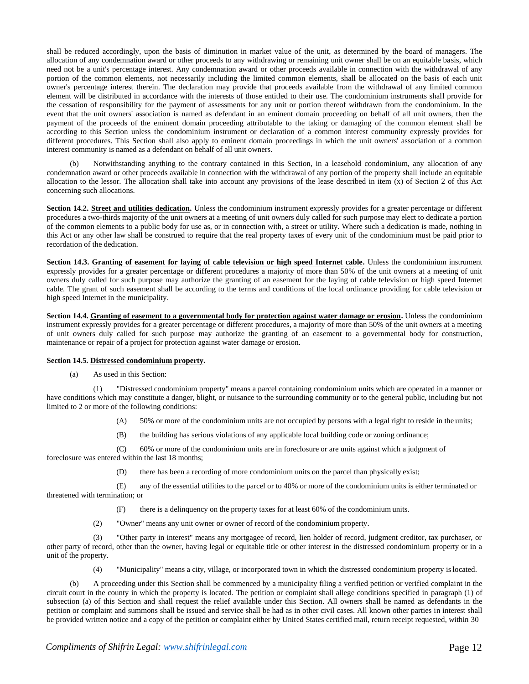shall be reduced accordingly, upon the basis of diminution in market value of the unit, as determined by the board of managers. The allocation of any condemnation award or other proceeds to any withdrawing or remaining unit owner shall be on an equitable basis, which need not be a unit's percentage interest. Any condemnation award or other proceeds available in connection with the withdrawal of any portion of the common elements, not necessarily including the limited common elements, shall be allocated on the basis of each unit owner's percentage interest therein. The declaration may provide that proceeds available from the withdrawal of any limited common element will be distributed in accordance with the interests of those entitled to their use. The condominium instruments shall provide for the cessation of responsibility for the payment of assessments for any unit or portion thereof withdrawn from the condominium. In the event that the unit owners' association is named as defendant in an eminent domain proceeding on behalf of all unit owners, then the payment of the proceeds of the eminent domain proceeding attributable to the taking or damaging of the common element shall be according to this Section unless the condominium instrument or declaration of a common interest community expressly provides for different procedures. This Section shall also apply to eminent domain proceedings in which the unit owners' association of a common interest community is named as a defendant on behalf of all unit owners.

Notwithstanding anything to the contrary contained in this Section, in a leasehold condominium, any allocation of any condemnation award or other proceeds available in connection with the withdrawal of any portion of the property shall include an equitable allocation to the lessor. The allocation shall take into account any provisions of the lease described in item (x) of Section 2 of this Act concerning such allocations.

**Section 14.2. Street and utilities dedication.** Unless the condominium instrument expressly provides for a greater percentage or different procedures a two-thirds majority of the unit owners at a meeting of unit owners duly called for such purpose may elect to dedicate a portion of the common elements to a public body for use as, or in connection with, a street or utility. Where such a dedication is made, nothing in this Act or any other law shall be construed to require that the real property taxes of every unit of the condominium must be paid prior to recordation of the dedication.

**Section 14.3. Granting of easement for laying of cable television or high speed Internet cable.** Unless the condominium instrument expressly provides for a greater percentage or different procedures a majority of more than 50% of the unit owners at a meeting of unit owners duly called for such purpose may authorize the granting of an easement for the laying of cable television or high speed Internet cable. The grant of such easement shall be according to the terms and conditions of the local ordinance providing for cable television or high speed Internet in the municipality.

**Section 14.4. Granting of easement to a governmental body for protection against water damage or erosion.** Unless the condominium instrument expressly provides for a greater percentage or different procedures, a majority of more than 50% of the unit owners at a meeting of unit owners duly called for such purpose may authorize the granting of an easement to a governmental body for construction, maintenance or repair of a project for protection against water damage or erosion.

# **Section 14.5. Distressed condominium property.**

(a) As used in this Section:

(1) "Distressed condominium property" means a parcel containing condominium units which are operated in a manner or have conditions which may constitute a danger, blight, or nuisance to the surrounding community or to the general public, including but not limited to 2 or more of the following conditions:

- (A) 50% or more of the condominium units are not occupied by persons with a legal right to reside in the units;
- (B) the building has serious violations of any applicable local building code or zoning ordinance;

(C) 60% or more of the condominium units are in foreclosure or are units against which a judgment of foreclosure was entered within the last 18 months;

(D) there has been a recording of more condominium units on the parcel than physically exist;

(E) any of the essential utilities to the parcel or to 40% or more of the condominium units is either terminated or threatened with termination; or

- (F) there is a delinquency on the property taxes for at least 60% of the condominium units.
- (2) "Owner" means any unit owner or owner of record of the condominium property.

(3) "Other party in interest" means any mortgagee of record, lien holder of record, judgment creditor, tax purchaser, or other party of record, other than the owner, having legal or equitable title or other interest in the distressed condominium property or in a unit of the property.

(4) "Municipality" means a city, village, or incorporated town in which the distressed condominium property islocated.

(b) A proceeding under this Section shall be commenced by a municipality filing a verified petition or verified complaint in the circuit court in the county in which the property is located. The petition or complaint shall allege conditions specified in paragraph (1) of subsection (a) of this Section and shall request the relief available under this Section. All owners shall be named as defendants in the petition or complaint and summons shall be issued and service shall be had as in other civil cases. All known other parties in interest shall be provided written notice and a copy of the petition or complaint either by United States certified mail, return receipt requested, within 30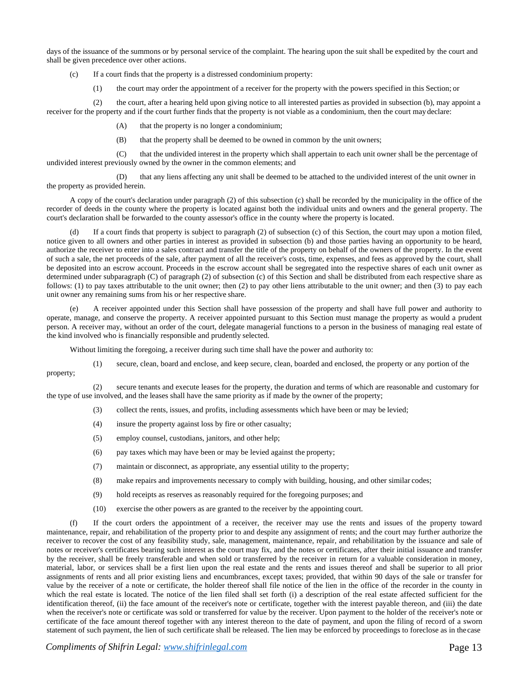days of the issuance of the summons or by personal service of the complaint. The hearing upon the suit shall be expedited by the court and shall be given precedence over other actions.

(c) If a court finds that the property is a distressed condominium property:

(1) the court may order the appointment of a receiver for the property with the powers specified in this Section; or

(2) the court, after a hearing held upon giving notice to all interested parties as provided in subsection (b), may appoint a receiver for the property and if the court further finds that the property is not viable as a condominium, then the court may declare:

- (A) that the property is no longer a condominium;
- (B) that the property shall be deemed to be owned in common by the unit owners;

(C) that the undivided interest in the property which shall appertain to each unit owner shall be the percentage of undivided interest previously owned by the owner in the common elements; and

(D) that any liens affecting any unit shall be deemed to be attached to the undivided interest of the unit owner in the property as provided herein.

A copy of the court's declaration under paragraph (2) of this subsection (c) shall be recorded by the municipality in the office of the recorder of deeds in the county where the property is located against both the individual units and owners and the general property. The court's declaration shall be forwarded to the county assessor's office in the county where the property is located.

If a court finds that property is subject to paragraph  $(2)$  of subsection  $(c)$  of this Section, the court may upon a motion filed, notice given to all owners and other parties in interest as provided in subsection (b) and those parties having an opportunity to be heard, authorize the receiver to enter into a sales contract and transfer the title of the property on behalf of the owners of the property. In the event of such a sale, the net proceeds of the sale, after payment of all the receiver's costs, time, expenses, and fees as approved by the court, shall be deposited into an escrow account. Proceeds in the escrow account shall be segregated into the respective shares of each unit owner as determined under subparagraph (C) of paragraph (2) of subsection (c) of this Section and shall be distributed from each respective share as follows: (1) to pay taxes attributable to the unit owner; then (2) to pay other liens attributable to the unit owner; and then (3) to pay each unit owner any remaining sums from his or her respective share.

A receiver appointed under this Section shall have possession of the property and shall have full power and authority to operate, manage, and conserve the property. A receiver appointed pursuant to this Section must manage the property as would a prudent person. A receiver may, without an order of the court, delegate managerial functions to a person in the business of managing real estate of the kind involved who is financially responsible and prudently selected.

Without limiting the foregoing, a receiver during such time shall have the power and authority to:

(1) secure, clean, board and enclose, and keep secure, clean, boarded and enclosed, the property or any portion of the property;

(2) secure tenants and execute leases for the property, the duration and terms of which are reasonable and customary for the type of use involved, and the leases shall have the same priority as if made by the owner of the property;

- (3) collect the rents, issues, and profits, including assessments which have been or may be levied;
- (4) insure the property against loss by fire or other casualty;
- (5) employ counsel, custodians, janitors, and other help;
- (6) pay taxes which may have been or may be levied against the property;
- (7) maintain or disconnect, as appropriate, any essential utility to the property;
- (8) make repairs and improvements necessary to comply with building, housing, and other similar codes;
- (9) hold receipts as reserves as reasonably required for the foregoing purposes; and
- (10) exercise the other powers as are granted to the receiver by the appointing court.

(f) If the court orders the appointment of a receiver, the receiver may use the rents and issues of the property toward maintenance, repair, and rehabilitation of the property prior to and despite any assignment of rents; and the court may further authorize the receiver to recover the cost of any feasibility study, sale, management, maintenance, repair, and rehabilitation by the issuance and sale of notes or receiver's certificates bearing such interest as the court may fix, and the notes or certificates, after their initial issuance and transfer by the receiver, shall be freely transferable and when sold or transferred by the receiver in return for a valuable consideration in money, material, labor, or services shall be a first lien upon the real estate and the rents and issues thereof and shall be superior to all prior assignments of rents and all prior existing liens and encumbrances, except taxes; provided, that within 90 days of the sale or transfer for value by the receiver of a note or certificate, the holder thereof shall file notice of the lien in the office of the recorder in the county in which the real estate is located. The notice of the lien filed shall set forth (i) a description of the real estate affected sufficient for the identification thereof, (ii) the face amount of the receiver's note or certificate, together with the interest payable thereon, and (iii) the date when the receiver's note or certificate was sold or transferred for value by the receiver. Upon payment to the holder of the receiver's note or certificate of the face amount thereof together with any interest thereon to the date of payment, and upon the filing of record of a sworn statement of such payment, the lien of such certificate shall be released. The lien may be enforced by proceedings to foreclose as in thecase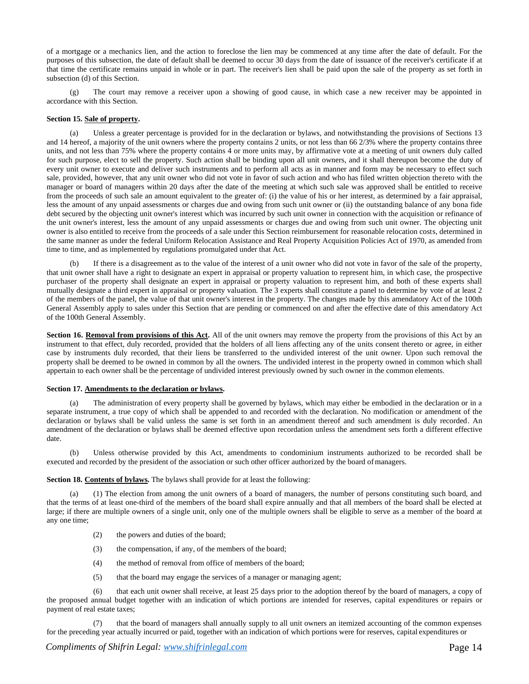of a mortgage or a mechanics lien, and the action to foreclose the lien may be commenced at any time after the date of default. For the purposes of this subsection, the date of default shall be deemed to occur 30 days from the date of issuance of the receiver's certificate if at that time the certificate remains unpaid in whole or in part. The receiver's lien shall be paid upon the sale of the property as set forth in subsection (d) of this Section.

(g) The court may remove a receiver upon a showing of good cause, in which case a new receiver may be appointed in accordance with this Section.

# **Section 15. Sale of property.**

(a) Unless a greater percentage is provided for in the declaration or bylaws, and notwithstanding the provisions of Sections 13 and 14 hereof, a majority of the unit owners where the property contains 2 units, or not less than 66 2/3% where the property contains three units, and not less than 75% where the property contains 4 or more units may, by affirmative vote at a meeting of unit owners duly called for such purpose, elect to sell the property. Such action shall be binding upon all unit owners, and it shall thereupon become the duty of every unit owner to execute and deliver such instruments and to perform all acts as in manner and form may be necessary to effect such sale, provided, however, that any unit owner who did not vote in favor of such action and who has filed written objection thereto with the manager or board of managers within 20 days after the date of the meeting at which such sale was approved shall be entitled to receive from the proceeds of such sale an amount equivalent to the greater of: (i) the value of his or her interest, as determined by a fair appraisal, less the amount of any unpaid assessments or charges due and owing from such unit owner or (ii) the outstanding balance of any bona fide debt secured by the objecting unit owner's interest which was incurred by such unit owner in connection with the acquisition or refinance of the unit owner's interest, less the amount of any unpaid assessments or charges due and owing from such unit owner. The objecting unit owner is also entitled to receive from the proceeds of a sale under this Section reimbursement for reasonable relocation costs, determined in the same manner as under the federal Uniform Relocation Assistance and Real Property Acquisition Policies Act of 1970, as amended from time to time, and as implemented by regulations promulgated under that Act.

(b) If there is a disagreement as to the value of the interest of a unit owner who did not vote in favor of the sale of the property, that unit owner shall have a right to designate an expert in appraisal or property valuation to represent him, in which case, the prospective purchaser of the property shall designate an expert in appraisal or property valuation to represent him, and both of these experts shall mutually designate a third expert in appraisal or property valuation. The 3 experts shall constitute a panel to determine by vote of at least 2 of the members of the panel, the value of that unit owner's interest in the property. The changes made by this amendatory Act of the 100th General Assembly apply to sales under this Section that are pending or commenced on and after the effective date of this amendatory Act of the 100th General Assembly.

**Section 16. Removal from provisions of this Act.** All of the unit owners may remove the property from the provisions of this Act by an instrument to that effect, duly recorded, provided that the holders of all liens affecting any of the units consent thereto or agree, in either case by instruments duly recorded, that their liens be transferred to the undivided interest of the unit owner. Upon such removal the property shall be deemed to be owned in common by all the owners. The undivided interest in the property owned in common which shall appertain to each owner shall be the percentage of undivided interest previously owned by such owner in the common elements.

#### **Section 17. Amendments to the declaration or bylaws.**

(a) The administration of every property shall be governed by bylaws, which may either be embodied in the declaration or in a separate instrument, a true copy of which shall be appended to and recorded with the declaration. No modification or amendment of the declaration or bylaws shall be valid unless the same is set forth in an amendment thereof and such amendment is duly recorded. An amendment of the declaration or bylaws shall be deemed effective upon recordation unless the amendment sets forth a different effective date.

(b) Unless otherwise provided by this Act, amendments to condominium instruments authorized to be recorded shall be executed and recorded by the president of the association or such other officer authorized by the board ofmanagers.

**Section 18. Contents of bylaws.** The bylaws shall provide for at least the following:

(a) (1) The election from among the unit owners of a board of managers, the number of persons constituting such board, and that the terms of at least one-third of the members of the board shall expire annually and that all members of the board shall be elected at large; if there are multiple owners of a single unit, only one of the multiple owners shall be eligible to serve as a member of the board at any one time;

- (2) the powers and duties of the board;
- (3) the compensation, if any, of the members of the board;
- (4) the method of removal from office of members of the board;
- (5) that the board may engage the services of a manager or managing agent;

(6) that each unit owner shall receive, at least 25 days prior to the adoption thereof by the board of managers, a copy of the proposed annual budget together with an indication of which portions are intended for reserves, capital expenditures or repairs or payment of real estate taxes;

(7) that the board of managers shall annually supply to all unit owners an itemized accounting of the common expenses for the preceding year actually incurred or paid, together with an indication of which portions were for reserves, capital expenditures or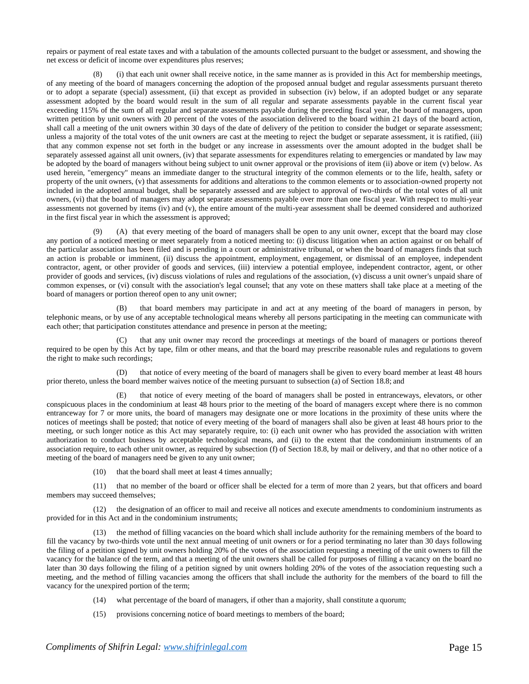repairs or payment of real estate taxes and with a tabulation of the amounts collected pursuant to the budget or assessment, and showing the net excess or deficit of income over expenditures plus reserves;

(8) (i) that each unit owner shall receive notice, in the same manner as is provided in this Act for membership meetings, of any meeting of the board of managers concerning the adoption of the proposed annual budget and regular assessments pursuant thereto or to adopt a separate (special) assessment, (ii) that except as provided in subsection (iv) below, if an adopted budget or any separate assessment adopted by the board would result in the sum of all regular and separate assessments payable in the current fiscal year exceeding 115% of the sum of all regular and separate assessments payable during the preceding fiscal year, the board of managers, upon written petition by unit owners with 20 percent of the votes of the association delivered to the board within 21 days of the board action, shall call a meeting of the unit owners within 30 days of the date of delivery of the petition to consider the budget or separate assessment; unless a majority of the total votes of the unit owners are cast at the meeting to reject the budget or separate assessment, it is ratified, (iii) that any common expense not set forth in the budget or any increase in assessments over the amount adopted in the budget shall be separately assessed against all unit owners, (iv) that separate assessments for expenditures relating to emergencies or mandated by law may be adopted by the board of managers without being subject to unit owner approval or the provisions of item (ii) above or item (v) below. As used herein, "emergency" means an immediate danger to the structural integrity of the common elements or to the life, health, safety or property of the unit owners, (v) that assessments for additions and alterations to the common elements or to association-owned property not included in the adopted annual budget, shall be separately assessed and are subject to approval of two-thirds of the total votes of all unit owners, (vi) that the board of managers may adopt separate assessments payable over more than one fiscal year. With respect to multi-year assessments not governed by items (iv) and (v), the entire amount of the multi-year assessment shall be deemed considered and authorized in the first fiscal year in which the assessment is approved;

(9) (A) that every meeting of the board of managers shall be open to any unit owner, except that the board may close any portion of a noticed meeting or meet separately from a noticed meeting to: (i) discuss litigation when an action against or on behalf of the particular association has been filed and is pending in a court or administrative tribunal, or when the board of managers finds that such an action is probable or imminent, (ii) discuss the appointment, employment, engagement, or dismissal of an employee, independent contractor, agent, or other provider of goods and services, (iii) interview a potential employee, independent contractor, agent, or other provider of goods and services, (iv) discuss violations of rules and regulations of the association, (v) discuss a unit owner's unpaid share of common expenses, or (vi) consult with the association's legal counsel; that any vote on these matters shall take place at a meeting of the board of managers or portion thereof open to any unit owner;

(B) that board members may participate in and act at any meeting of the board of managers in person, by telephonic means, or by use of any acceptable technological means whereby all persons participating in the meeting can communicate with each other; that participation constitutes attendance and presence in person at the meeting;

(C) that any unit owner may record the proceedings at meetings of the board of managers or portions thereof required to be open by this Act by tape, film or other means, and that the board may prescribe reasonable rules and regulations to govern the right to make such recordings;

(D) that notice of every meeting of the board of managers shall be given to every board member at least 48 hours prior thereto, unless the board member waives notice of the meeting pursuant to subsection (a) of Section 18.8; and

(E) that notice of every meeting of the board of managers shall be posted in entranceways, elevators, or other conspicuous places in the condominium at least 48 hours prior to the meeting of the board of managers except where there is no common entranceway for 7 or more units, the board of managers may designate one or more locations in the proximity of these units where the notices of meetings shall be posted; that notice of every meeting of the board of managers shall also be given at least 48 hours prior to the meeting, or such longer notice as this Act may separately require, to: (i) each unit owner who has provided the association with written authorization to conduct business by acceptable technological means, and (ii) to the extent that the condominium instruments of an association require, to each other unit owner, as required by subsection (f) of Section 18.8, by mail or delivery, and that no other notice of a meeting of the board of managers need be given to any unit owner;

(10) that the board shall meet at least 4 times annually;

(11) that no member of the board or officer shall be elected for a term of more than 2 years, but that officers and board members may succeed themselves;

(12) the designation of an officer to mail and receive all notices and execute amendments to condominium instruments as provided for in this Act and in the condominium instruments;

(13) the method of filling vacancies on the board which shall include authority for the remaining members of the board to fill the vacancy by two-thirds vote until the next annual meeting of unit owners or for a period terminating no later than 30 days following the filing of a petition signed by unit owners holding 20% of the votes of the association requesting a meeting of the unit owners to fill the vacancy for the balance of the term, and that a meeting of the unit owners shall be called for purposes of filling a vacancy on the board no later than 30 days following the filing of a petition signed by unit owners holding 20% of the votes of the association requesting such a meeting, and the method of filling vacancies among the officers that shall include the authority for the members of the board to fill the vacancy for the unexpired portion of the term;

(14) what percentage of the board of managers, if other than a majority, shall constitute a quorum;

(15) provisions concerning notice of board meetings to members of the board;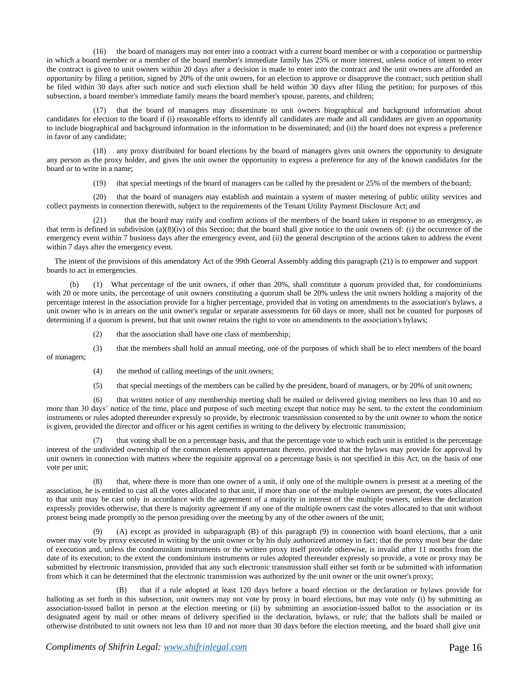(16) the board of managers may not enter into a contract with a current board member or with a corporation or partnership in which a board member or a member of the board member's immediate family has 25% or more interest, unless notice of intent to enter the contract is given to unit owners within 20 days after a decision is made to enter into the contract and the unit owners are afforded an opportunity by filing a petition, signed by 20% of the unit owners, for an election to approve or disapprove the contract; such petition shall be filed within 30 days after such notice and such election shall be held within 30 days after filing the petition; for purposes of this subsection, a board member's immediate family means the board member's spouse, parents, and children;

(17) that the board of managers may disseminate to unit owners biographical and background information about candidates for election to the board if (i) reasonable efforts to identify all candidates are made and all candidates are given an opportunity to include biographical and background information in the information to be disseminated; and (ii) the board does not express a preference in favor of any candidate;

(18) any proxy distributed for board elections by the board of managers gives unit owners the opportunity to designate any person as the proxy holder, and gives the unit owner the opportunity to express a preference for any of the known candidates for the board or to write in a name;

(19) that special meetings of the board of managers can be called by the president or 25% of the members of theboard;

(20) that the board of managers may establish and maintain a system of master metering of public utility services and collect payments in connection therewith, subject to the requirements of the Tenant Utility Payment Disclosure Act; and

(21) that the board may ratify and confirm actions of the members of the board taken in response to an emergency, as that term is defined in subdivision (a)(8)(iv) of this Section; that the board shall give notice to the unit owners of: (i) the occurrence of the emergency event within 7 business days after the emergency event, and (ii) the general description of the actions taken to address the event within 7 days after the emergency event.

The intent of the provisions of this amendatory Act of the 99th General Assembly adding this paragraph (21) is to empower and support boards to act in emergencies.

(b) (1) What percentage of the unit owners, if other than 20%, shall constitute a quorum provided that, for condominiums with 20 or more units, the percentage of unit owners constituting a quorum shall be 20% unless the unit owners holding a majority of the percentage interest in the association provide for a higher percentage, provided that in voting on amendments to the association's bylaws, a unit owner who is in arrears on the unit owner's regular or separate assessments for 60 days or more, shall not be counted for purposes of determining if a quorum is present, but that unit owner retains the right to vote on amendments to the association's bylaws;

(2) that the association shall have one class of membership;

(3) that the members shall hold an annual meeting, one of the purposes of which shall be to elect members of the board of managers;

(4) the method of calling meetings of the unit owners;

(5) that special meetings of the members can be called by the president, board of managers, or by 20% of unit owners;

(6) that written notice of any membership meeting shall be mailed or delivered giving members no less than 10 and no more than 30 days' notice of the time, place and purpose of such meeting except that notice may be sent, to the extent the condominium instruments or rules adopted thereunder expressly so provide, by electronic transmission consented to by the unit owner to whom the notice is given, provided the director and officer or his agent certifies in writing to the delivery by electronic transmission;

(7) that voting shall be on a percentage basis, and that the percentage vote to which each unit is entitled is the percentage interest of the undivided ownership of the common elements appurtenant thereto, provided that the bylaws may provide for approval by unit owners in connection with matters where the requisite approval on a percentage basis is not specified in this Act, on the basis of one vote per unit;

(8) that, where there is more than one owner of a unit, if only one of the multiple owners is present at a meeting of the association, he is entitled to cast all the votes allocated to that unit, if more than one of the multiple owners are present, the votes allocated to that unit may be cast only in accordance with the agreement of a majority in interest of the multiple owners, unless the declaration expressly provides otherwise, that there is majority agreement if any one of the multiple owners cast the votes allocated to that unit without protest being made promptly to the person presiding over the meeting by any of the other owners of the unit;

(9) (A) except as provided in subparagraph (B) of this paragraph (9) in connection with board elections, that a unit owner may vote by proxy executed in writing by the unit owner or by his duly authorized attorney in fact; that the proxy must bear the date of execution and, unless the condominium instruments or the written proxy itself provide otherwise, is invalid after 11 months from the date of its execution; to the extent the condominium instruments or rules adopted thereunder expressly so provide, a vote or proxy may be submitted by electronic transmission, provided that any such electronic transmission shall either set forth or be submitted with information from which it can be determined that the electronic transmission was authorized by the unit owner or the unit owner's proxy;

(B) that if a rule adopted at least 120 days before a board election or the declaration or bylaws provide for balloting as set forth in this subsection, unit owners may not vote by proxy in board elections, but may vote only (i) by submitting an association-issued ballot in person at the election meeting or (ii) by submitting an association-issued ballot to the association or its designated agent by mail or other means of delivery specified in the declaration, bylaws, or rule; that the ballots shall be mailed or otherwise distributed to unit owners not less than 10 and not more than 30 days before the election meeting, and the board shall give unit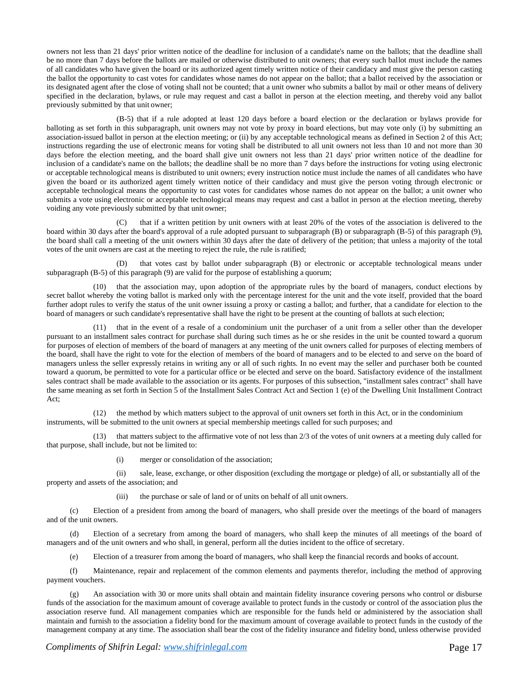owners not less than 21 days' prior written notice of the deadline for inclusion of a candidate's name on the ballots; that the deadline shall be no more than 7 days before the ballots are mailed or otherwise distributed to unit owners; that every such ballot must include the names of all candidates who have given the board or its authorized agent timely written notice of their candidacy and must give the person casting the ballot the opportunity to cast votes for candidates whose names do not appear on the ballot; that a ballot received by the association or its designated agent after the close of voting shall not be counted; that a unit owner who submits a ballot by mail or other means of delivery specified in the declaration, bylaws, or rule may request and cast a ballot in person at the election meeting, and thereby void any ballot previously submitted by that unit owner;

(B-5) that if a rule adopted at least 120 days before a board election or the declaration or bylaws provide for balloting as set forth in this subparagraph, unit owners may not vote by proxy in board elections, but may vote only (i) by submitting an association-issued ballot in person at the election meeting; or (ii) by any acceptable technological means as defined in Section 2 of this Act; instructions regarding the use of electronic means for voting shall be distributed to all unit owners not less than 10 and not more than 30 days before the election meeting, and the board shall give unit owners not less than 21 days' prior written notice of the deadline for inclusion of a candidate's name on the ballots; the deadline shall be no more than 7 days before the instructions for voting using electronic or acceptable technological means is distributed to unit owners; every instruction notice must include the names of all candidates who have given the board or its authorized agent timely written notice of their candidacy and must give the person voting through electronic or acceptable technological means the opportunity to cast votes for candidates whose names do not appear on the ballot; a unit owner who submits a vote using electronic or acceptable technological means may request and cast a ballot in person at the election meeting, thereby voiding any vote previously submitted by that unit owner;

that if a written petition by unit owners with at least 20% of the votes of the association is delivered to the board within 30 days after the board's approval of a rule adopted pursuant to subparagraph (B) or subparagraph (B-5) of this paragraph (9), the board shall call a meeting of the unit owners within 30 days after the date of delivery of the petition; that unless a majority of the total votes of the unit owners are cast at the meeting to reject the rule, the rule is ratified;

(D) that votes cast by ballot under subparagraph (B) or electronic or acceptable technological means under subparagraph (B-5) of this paragraph (9) are valid for the purpose of establishing a quorum;

(10) that the association may, upon adoption of the appropriate rules by the board of managers, conduct elections by secret ballot whereby the voting ballot is marked only with the percentage interest for the unit and the vote itself, provided that the board further adopt rules to verify the status of the unit owner issuing a proxy or casting a ballot; and further, that a candidate for election to the board of managers or such candidate's representative shall have the right to be present at the counting of ballots at such election;

that in the event of a resale of a condominium unit the purchaser of a unit from a seller other than the developer pursuant to an installment sales contract for purchase shall during such times as he or she resides in the unit be counted toward a quorum for purposes of election of members of the board of managers at any meeting of the unit owners called for purposes of electing members of the board, shall have the right to vote for the election of members of the board of managers and to be elected to and serve on the board of managers unless the seller expressly retains in writing any or all of such rights. In no event may the seller and purchaser both be counted toward a quorum, be permitted to vote for a particular office or be elected and serve on the board. Satisfactory evidence of the installment sales contract shall be made available to the association or its agents. For purposes of this subsection, "installment sales contract" shall have the same meaning as set forth in Section 5 of the Installment Sales Contract Act and Section 1 (e) of the Dwelling Unit Installment Contract Act;

(12) the method by which matters subject to the approval of unit owners set forth in this Act, or in the condominium instruments, will be submitted to the unit owners at special membership meetings called for such purposes; and

(13) that matters subject to the affirmative vote of not less than 2/3 of the votes of unit owners at a meeting duly called for that purpose, shall include, but not be limited to:

(i) merger or consolidation of the association;

(ii) sale, lease, exchange, or other disposition (excluding the mortgage or pledge) of all, or substantially all of the property and assets of the association; and

(iii) the purchase or sale of land or of units on behalf of all unit owners.

(c) Election of a president from among the board of managers, who shall preside over the meetings of the board of managers and of the unit owners.

(d) Election of a secretary from among the board of managers, who shall keep the minutes of all meetings of the board of managers and of the unit owners and who shall, in general, perform all the duties incident to the office of secretary.

(e) Election of a treasurer from among the board of managers, who shall keep the financial records and books of account.

(f) Maintenance, repair and replacement of the common elements and payments therefor, including the method of approving payment vouchers.

(g) An association with 30 or more units shall obtain and maintain fidelity insurance covering persons who control or disburse funds of the association for the maximum amount of coverage available to protect funds in the custody or control of the association plus the association reserve fund. All management companies which are responsible for the funds held or administered by the association shall maintain and furnish to the association a fidelity bond for the maximum amount of coverage available to protect funds in the custody of the management company at any time. The association shall bear the cost of the fidelity insurance and fidelity bond, unless otherwise provided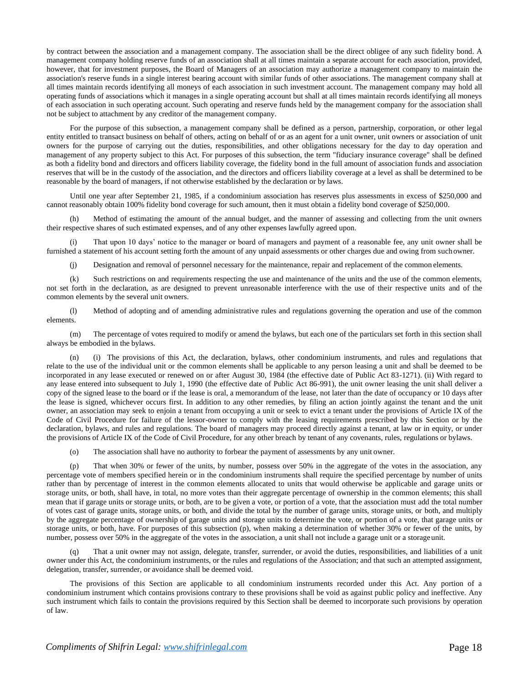by contract between the association and a management company. The association shall be the direct obligee of any such fidelity bond. A management company holding reserve funds of an association shall at all times maintain a separate account for each association, provided, however, that for investment purposes, the Board of Managers of an association may authorize a management company to maintain the association's reserve funds in a single interest bearing account with similar funds of other associations. The management company shall at all times maintain records identifying all moneys of each association in such investment account. The management company may hold all operating funds of associations which it manages in a single operating account but shall at all times maintain records identifying all moneys of each association in such operating account. Such operating and reserve funds held by the management company for the association shall not be subject to attachment by any creditor of the management company.

For the purpose of this subsection, a management company shall be defined as a person, partnership, corporation, or other legal entity entitled to transact business on behalf of others, acting on behalf of or as an agent for a unit owner, unit owners or association of unit owners for the purpose of carrying out the duties, responsibilities, and other obligations necessary for the day to day operation and management of any property subject to this Act. For purposes of this subsection, the term "fiduciary insurance coverage" shall be defined as both a fidelity bond and directors and officers liability coverage, the fidelity bond in the full amount of association funds and association reserves that will be in the custody of the association, and the directors and officers liability coverage at a level as shall be determined to be reasonable by the board of managers, if not otherwise established by the declaration or by laws.

Until one year after September 21, 1985, if a condominium association has reserves plus assessments in excess of \$250,000 and cannot reasonably obtain 100% fidelity bond coverage for such amount, then it must obtain a fidelity bond coverage of \$250,000.

(h) Method of estimating the amount of the annual budget, and the manner of assessing and collecting from the unit owners their respective shares of such estimated expenses, and of any other expenses lawfully agreed upon.

(i) That upon 10 days' notice to the manager or board of managers and payment of a reasonable fee, any unit owner shall be furnished a statement of his account setting forth the amount of any unpaid assessments or other charges due and owing from suchowner.

(j) Designation and removal of personnel necessary for the maintenance, repair and replacement of the common elements.

(k) Such restrictions on and requirements respecting the use and maintenance of the units and the use of the common elements, not set forth in the declaration, as are designed to prevent unreasonable interference with the use of their respective units and of the common elements by the several unit owners.

(l) Method of adopting and of amending administrative rules and regulations governing the operation and use of the common elements.

(m) The percentage of votes required to modify or amend the bylaws, but each one of the particulars set forth in this section shall always be embodied in the bylaws.

(n) (i) The provisions of this Act, the declaration, bylaws, other condominium instruments, and rules and regulations that relate to the use of the individual unit or the common elements shall be applicable to any person leasing a unit and shall be deemed to be incorporated in any lease executed or renewed on or after August 30, 1984 (the effective date of Public Act 83-1271). (ii) With regard to any lease entered into subsequent to July 1, 1990 (the effective date of Public Act 86-991), the unit owner leasing the unit shall deliver a copy of the signed lease to the board or if the lease is oral, a memorandum of the lease, not later than the date of occupancy or 10 days after the lease is signed, whichever occurs first. In addition to any other remedies, by filing an action jointly against the tenant and the unit owner, an association may seek to enjoin a tenant from occupying a unit or seek to evict a tenant under the provisions of Article IX of the Code of Civil Procedure for failure of the lessor-owner to comply with the leasing requirements prescribed by this Section or by the declaration, bylaws, and rules and regulations. The board of managers may proceed directly against a tenant, at law or in equity, or under the provisions of Article IX of the Code of Civil Procedure, for any other breach by tenant of any covenants, rules, regulations or bylaws.

(o) The association shall have no authority to forbear the payment of assessments by any unit owner.

(p) That when 30% or fewer of the units, by number, possess over 50% in the aggregate of the votes in the association, any percentage vote of members specified herein or in the condominium instruments shall require the specified percentage by number of units rather than by percentage of interest in the common elements allocated to units that would otherwise be applicable and garage units or storage units, or both, shall have, in total, no more votes than their aggregate percentage of ownership in the common elements; this shall mean that if garage units or storage units, or both, are to be given a vote, or portion of a vote, that the association must add the total number of votes cast of garage units, storage units, or both, and divide the total by the number of garage units, storage units, or both, and multiply by the aggregate percentage of ownership of garage units and storage units to determine the vote, or portion of a vote, that garage units or storage units, or both, have. For purposes of this subsection (p), when making a determination of whether 30% or fewer of the units, by number, possess over 50% in the aggregate of the votes in the association, a unit shall not include a garage unit or a storage unit.

(q) That a unit owner may not assign, delegate, transfer, surrender, or avoid the duties, responsibilities, and liabilities of a unit owner under this Act, the condominium instruments, or the rules and regulations of the Association; and that such an attempted assignment, delegation, transfer, surrender, or avoidance shall be deemed void.

The provisions of this Section are applicable to all condominium instruments recorded under this Act. Any portion of a condominium instrument which contains provisions contrary to these provisions shall be void as against public policy and ineffective. Any such instrument which fails to contain the provisions required by this Section shall be deemed to incorporate such provisions by operation of law.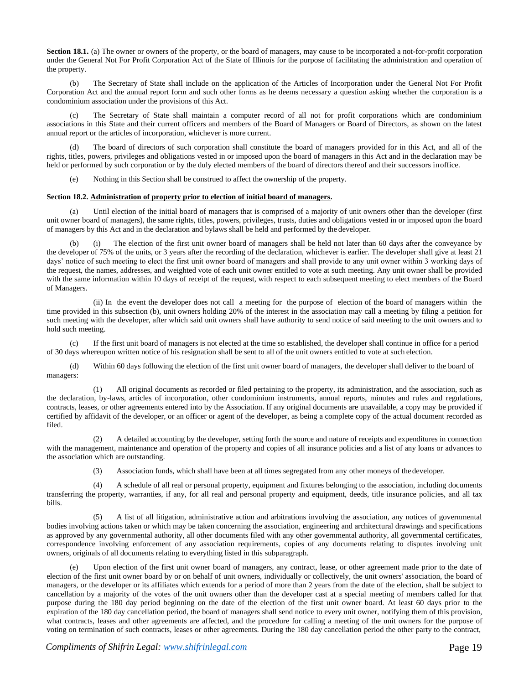**Section 18.1.** (a) The owner or owners of the property, or the board of managers, may cause to be incorporated a not-for-profit corporation under the General Not For Profit Corporation Act of the State of Illinois for the purpose of facilitating the administration and operation of the property.

(b) The Secretary of State shall include on the application of the Articles of Incorporation under the General Not For Profit Corporation Act and the annual report form and such other forms as he deems necessary a question asking whether the corporation is a condominium association under the provisions of this Act.

(c) The Secretary of State shall maintain a computer record of all not for profit corporations which are condominium associations in this State and their current officers and members of the Board of Managers or Board of Directors, as shown on the latest annual report or the articles of incorporation, whichever is more current.

(d) The board of directors of such corporation shall constitute the board of managers provided for in this Act, and all of the rights, titles, powers, privileges and obligations vested in or imposed upon the board of managers in this Act and in the declaration may be held or performed by such corporation or by the duly elected members of the board of directors thereof and their successors inoffice.

Nothing in this Section shall be construed to affect the ownership of the property.

# **Section 18.2. Administration of property prior to election of initial board of managers.**

(a) Until election of the initial board of managers that is comprised of a majority of unit owners other than the developer (first unit owner board of managers), the same rights, titles, powers, privileges, trusts, duties and obligations vested in or imposed upon the board of managers by this Act and in the declaration and bylaws shall be held and performed by the developer.

(b) (i) The election of the first unit owner board of managers shall be held not later than 60 days after the conveyance by the developer of 75% of the units, or 3 years after the recording of the declaration, whichever is earlier. The developer shall give at least 21 days' notice of such meeting to elect the first unit owner board of managers and shall provide to any unit owner within 3 working days of the request, the names, addresses, and weighted vote of each unit owner entitled to vote at such meeting. Any unit owner shall be provided with the same information within 10 days of receipt of the request, with respect to each subsequent meeting to elect members of the Board of Managers.

(ii) In the event the developer does not call a meeting for the purpose of election of the board of managers within the time provided in this subsection (b), unit owners holding 20% of the interest in the association may call a meeting by filing a petition for such meeting with the developer, after which said unit owners shall have authority to send notice of said meeting to the unit owners and to hold such meeting.

(c) If the first unit board of managers is not elected at the time so established, the developer shall continue in office for a period of 30 days whereupon written notice of his resignation shall be sent to all of the unit owners entitled to vote at such election.

(d) Within 60 days following the election of the first unit owner board of managers, the developer shall deliver to the board of managers:

(1) All original documents as recorded or filed pertaining to the property, its administration, and the association, such as the declaration, by-laws, articles of incorporation, other condominium instruments, annual reports, minutes and rules and regulations, contracts, leases, or other agreements entered into by the Association. If any original documents are unavailable, a copy may be provided if certified by affidavit of the developer, or an officer or agent of the developer, as being a complete copy of the actual document recorded as filed.

(2) A detailed accounting by the developer, setting forth the source and nature of receipts and expenditures in connection with the management, maintenance and operation of the property and copies of all insurance policies and a list of any loans or advances to the association which are outstanding.

(3) Association funds, which shall have been at all times segregated from any other moneys of thedeveloper.

(4) A schedule of all real or personal property, equipment and fixtures belonging to the association, including documents transferring the property, warranties, if any, for all real and personal property and equipment, deeds, title insurance policies, and all tax bills.

(5) A list of all litigation, administrative action and arbitrations involving the association, any notices of governmental bodies involving actions taken or which may be taken concerning the association, engineering and architectural drawings and specifications as approved by any governmental authority, all other documents filed with any other governmental authority, all governmental certificates, correspondence involving enforcement of any association requirements, copies of any documents relating to disputes involving unit owners, originals of all documents relating to everything listed in this subparagraph.

(e) Upon election of the first unit owner board of managers, any contract, lease, or other agreement made prior to the date of election of the first unit owner board by or on behalf of unit owners, individually or collectively, the unit owners' association, the board of managers, or the developer or its affiliates which extends for a period of more than 2 years from the date of the election, shall be subject to cancellation by a majority of the votes of the unit owners other than the developer cast at a special meeting of members called for that purpose during the 180 day period beginning on the date of the election of the first unit owner board. At least 60 days prior to the expiration of the 180 day cancellation period, the board of managers shall send notice to every unit owner, notifying them of this provision, what contracts, leases and other agreements are affected, and the procedure for calling a meeting of the unit owners for the purpose of voting on termination of such contracts, leases or other agreements. During the 180 day cancellation period the other party to the contract,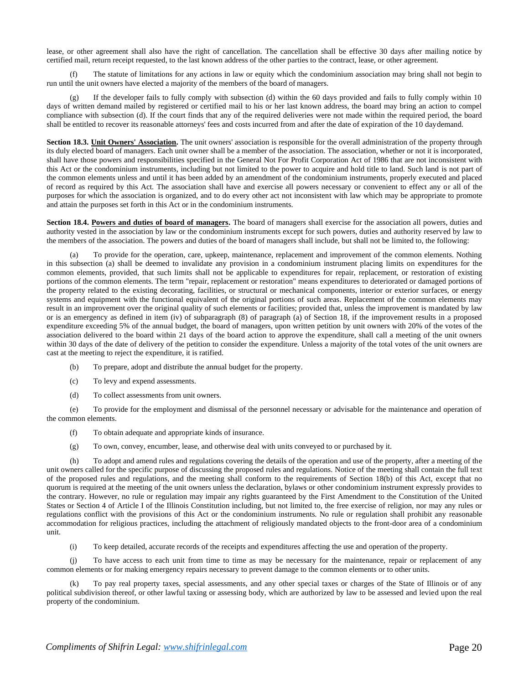lease, or other agreement shall also have the right of cancellation. The cancellation shall be effective 30 days after mailing notice by certified mail, return receipt requested, to the last known address of the other parties to the contract, lease, or other agreement.

(f) The statute of limitations for any actions in law or equity which the condominium association may bring shall not begin to run until the unit owners have elected a majority of the members of the board of managers.

(g) If the developer fails to fully comply with subsection (d) within the 60 days provided and fails to fully comply within 10 days of written demand mailed by registered or certified mail to his or her last known address, the board may bring an action to compel compliance with subsection (d). If the court finds that any of the required deliveries were not made within the required period, the board shall be entitled to recover its reasonable attorneys' fees and costs incurred from and after the date of expiration of the 10 daydemand.

Section 18.3. Unit Owners' Association. The unit owners' association is responsible for the overall administration of the property through its duly elected board of managers. Each unit owner shall be a member of the association. The association, whether or not it is incorporated, shall have those powers and responsibilities specified in the General Not For Profit Corporation Act of 1986 that are not inconsistent with this Act or the condominium instruments, including but not limited to the power to acquire and hold title to land. Such land is not part of the common elements unless and until it has been added by an amendment of the condominium instruments, properly executed and placed of record as required by this Act. The association shall have and exercise all powers necessary or convenient to effect any or all of the purposes for which the association is organized, and to do every other act not inconsistent with law which may be appropriate to promote and attain the purposes set forth in this Act or in the condominium instruments.

Section 18.4. Powers and duties of board of managers. The board of managers shall exercise for the association all powers, duties and authority vested in the association by law or the condominium instruments except for such powers, duties and authority reserved by law to the members of the association. The powers and duties of the board of managers shall include, but shall not be limited to, the following:

To provide for the operation, care, upkeep, maintenance, replacement and improvement of the common elements. Nothing in this subsection (a) shall be deemed to invalidate any provision in a condominium instrument placing limits on expenditures for the common elements, provided, that such limits shall not be applicable to expenditures for repair, replacement, or restoration of existing portions of the common elements. The term "repair, replacement or restoration" means expenditures to deteriorated or damaged portions of the property related to the existing decorating, facilities, or structural or mechanical components, interior or exterior surfaces, or energy systems and equipment with the functional equivalent of the original portions of such areas. Replacement of the common elements may result in an improvement over the original quality of such elements or facilities; provided that, unless the improvement is mandated by law or is an emergency as defined in item (iv) of subparagraph (8) of paragraph (a) of Section 18, if the improvement results in a proposed expenditure exceeding 5% of the annual budget, the board of managers, upon written petition by unit owners with 20% of the votes of the association delivered to the board within 21 days of the board action to approve the expenditure, shall call a meeting of the unit owners within 30 days of the date of delivery of the petition to consider the expenditure. Unless a majority of the total votes of the unit owners are cast at the meeting to reject the expenditure, it is ratified.

- (b) To prepare, adopt and distribute the annual budget for the property.
- (c) To levy and expend assessments.
- (d) To collect assessments from unit owners.

(e) To provide for the employment and dismissal of the personnel necessary or advisable for the maintenance and operation of the common elements.

- (f) To obtain adequate and appropriate kinds of insurance.
- (g) To own, convey, encumber, lease, and otherwise deal with units conveyed to or purchased by it.

(h) To adopt and amend rules and regulations covering the details of the operation and use of the property, after a meeting of the unit owners called for the specific purpose of discussing the proposed rules and regulations. Notice of the meeting shall contain the full text of the proposed rules and regulations, and the meeting shall conform to the requirements of Section 18(b) of this Act, except that no quorum is required at the meeting of the unit owners unless the declaration, bylaws or other condominium instrument expressly provides to the contrary. However, no rule or regulation may impair any rights guaranteed by the First Amendment to the Constitution of the United States or Section 4 of Article I of the Illinois Constitution including, but not limited to, the free exercise of religion, nor may any rules or regulations conflict with the provisions of this Act or the condominium instruments. No rule or regulation shall prohibit any reasonable accommodation for religious practices, including the attachment of religiously mandated objects to the front-door area of a condominium unit.

(i) To keep detailed, accurate records of the receipts and expenditures affecting the use and operation of the property.

(j) To have access to each unit from time to time as may be necessary for the maintenance, repair or replacement of any common elements or for making emergency repairs necessary to prevent damage to the common elements or to other units.

(k) To pay real property taxes, special assessments, and any other special taxes or charges of the State of Illinois or of any political subdivision thereof, or other lawful taxing or assessing body, which are authorized by law to be assessed and levied upon the real property of the condominium.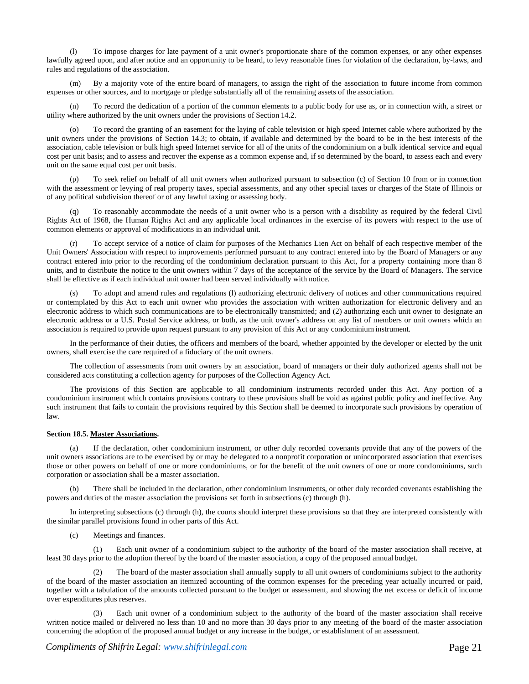(l) To impose charges for late payment of a unit owner's proportionate share of the common expenses, or any other expenses lawfully agreed upon, and after notice and an opportunity to be heard, to levy reasonable fines for violation of the declaration, by-laws, and rules and regulations of the association.

(m) By a majority vote of the entire board of managers, to assign the right of the association to future income from common expenses or other sources, and to mortgage or pledge substantially all of the remaining assets of the association.

(n) To record the dedication of a portion of the common elements to a public body for use as, or in connection with, a street or utility where authorized by the unit owners under the provisions of Section 14.2.

(o) To record the granting of an easement for the laying of cable television or high speed Internet cable where authorized by the unit owners under the provisions of Section 14.3; to obtain, if available and determined by the board to be in the best interests of the association, cable television or bulk high speed Internet service for all of the units of the condominium on a bulk identical service and equal cost per unit basis; and to assess and recover the expense as a common expense and, if so determined by the board, to assess each and every unit on the same equal cost per unit basis.

To seek relief on behalf of all unit owners when authorized pursuant to subsection (c) of Section 10 from or in connection with the assessment or levying of real property taxes, special assessments, and any other special taxes or charges of the State of Illinois or of any political subdivision thereof or of any lawful taxing or assessing body.

To reasonably accommodate the needs of a unit owner who is a person with a disability as required by the federal Civil Rights Act of 1968, the Human Rights Act and any applicable local ordinances in the exercise of its powers with respect to the use of common elements or approval of modifications in an individual unit.

(r) To accept service of a notice of claim for purposes of the Mechanics Lien Act on behalf of each respective member of the Unit Owners' Association with respect to improvements performed pursuant to any contract entered into by the Board of Managers or any contract entered into prior to the recording of the condominium declaration pursuant to this Act, for a property containing more than 8 units, and to distribute the notice to the unit owners within 7 days of the acceptance of the service by the Board of Managers. The service shall be effective as if each individual unit owner had been served individually with notice.

(s) To adopt and amend rules and regulations (l) authorizing electronic delivery of notices and other communications required or contemplated by this Act to each unit owner who provides the association with written authorization for electronic delivery and an electronic address to which such communications are to be electronically transmitted; and (2) authorizing each unit owner to designate an electronic address or a U.S. Postal Service address, or both, as the unit owner's address on any list of members or unit owners which an association is required to provide upon request pursuant to any provision of this Act or any condominium instrument.

In the performance of their duties, the officers and members of the board, whether appointed by the developer or elected by the unit owners, shall exercise the care required of a fiduciary of the unit owners.

The collection of assessments from unit owners by an association, board of managers or their duly authorized agents shall not be considered acts constituting a collection agency for purposes of the Collection Agency Act.

The provisions of this Section are applicable to all condominium instruments recorded under this Act. Any portion of a condominium instrument which contains provisions contrary to these provisions shall be void as against public policy and ineffective. Any such instrument that fails to contain the provisions required by this Section shall be deemed to incorporate such provisions by operation of law.

# **Section 18.5. Master Associations.**

(a) If the declaration, other condominium instrument, or other duly recorded covenants provide that any of the powers of the unit owners associations are to be exercised by or may be delegated to a nonprofit corporation or unincorporated association that exercises those or other powers on behalf of one or more condominiums, or for the benefit of the unit owners of one or more condominiums, such corporation or association shall be a master association.

There shall be included in the declaration, other condominium instruments, or other duly recorded covenants establishing the powers and duties of the master association the provisions set forth in subsections (c) through (h).

In interpreting subsections (c) through (h), the courts should interpret these provisions so that they are interpreted consistently with the similar parallel provisions found in other parts of this Act.

(c) Meetings and finances.

(1) Each unit owner of a condominium subject to the authority of the board of the master association shall receive, at least 30 days prior to the adoption thereof by the board of the master association, a copy of the proposed annual budget.

(2) The board of the master association shall annually supply to all unit owners of condominiums subject to the authority of the board of the master association an itemized accounting of the common expenses for the preceding year actually incurred or paid, together with a tabulation of the amounts collected pursuant to the budget or assessment, and showing the net excess or deficit of income over expenditures plus reserves.

Each unit owner of a condominium subject to the authority of the board of the master association shall receive written notice mailed or delivered no less than 10 and no more than 30 days prior to any meeting of the board of the master association concerning the adoption of the proposed annual budget or any increase in the budget, or establishment of an assessment.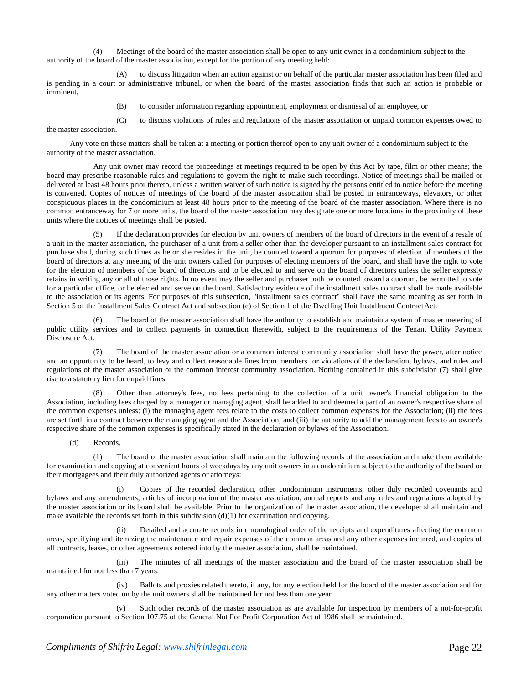(4) Meetings of the board of the master association shall be open to any unit owner in a condominium subject to the authority of the board of the master association, except for the portion of any meeting held:

(A) to discuss litigation when an action against or on behalf of the particular master association has been filed and is pending in a court or administrative tribunal, or when the board of the master association finds that such an action is probable or imminent,

(B) to consider information regarding appointment, employment or dismissal of an employee, or

(C) to discuss violations of rules and regulations of the master association or unpaid common expenses owed to the master association.

Any vote on these matters shall be taken at a meeting or portion thereof open to any unit owner of a condominium subject to the authority of the master association.

Any unit owner may record the proceedings at meetings required to be open by this Act by tape, film or other means; the board may prescribe reasonable rules and regulations to govern the right to make such recordings. Notice of meetings shall be mailed or delivered at least 48 hours prior thereto, unless a written waiver of such notice is signed by the persons entitled to notice before the meeting is convened. Copies of notices of meetings of the board of the master association shall be posted in entranceways, elevators, or other conspicuous places in the condominium at least 48 hours prior to the meeting of the board of the master association. Where there is no common entranceway for 7 or more units, the board of the master association may designate one or more locations in the proximity of these units where the notices of meetings shall be posted.

If the declaration provides for election by unit owners of members of the board of directors in the event of a resale of a unit in the master association, the purchaser of a unit from a seller other than the developer pursuant to an installment sales contract for purchase shall, during such times as he or she resides in the unit, be counted toward a quorum for purposes of election of members of the board of directors at any meeting of the unit owners called for purposes of electing members of the board, and shall have the right to vote for the election of members of the board of directors and to be elected to and serve on the board of directors unless the seller expressly retains in writing any or all of those rights. In no event may the seller and purchaser both be counted toward a quorum, be permitted to vote for a particular office, or be elected and serve on the board. Satisfactory evidence of the installment sales contract shall be made available to the association or its agents. For purposes of this subsection, "installment sales contract" shall have the same meaning as set forth in Section 5 of the Installment Sales Contract Act and subsection (e) of Section 1 of the Dwelling Unit Installment ContractAct.

(6) The board of the master association shall have the authority to establish and maintain a system of master metering of public utility services and to collect payments in connection therewith, subject to the requirements of the Tenant Utility Payment Disclosure Act.

(7) The board of the master association or a common interest community association shall have the power, after notice and an opportunity to be heard, to levy and collect reasonable fines from members for violations of the declaration, bylaws, and rules and regulations of the master association or the common interest community association. Nothing contained in this subdivision (7) shall give rise to a statutory lien for unpaid fines.

(8) Other than attorney's fees, no fees pertaining to the collection of a unit owner's financial obligation to the Association, including fees charged by a manager or managing agent, shall be added to and deemed a part of an owner's respective share of the common expenses unless: (i) the managing agent fees relate to the costs to collect common expenses for the Association; (ii) the fees are set forth in a contract between the managing agent and the Association; and (iii) the authority to add the management fees to an owner's respective share of the common expenses is specifically stated in the declaration or bylaws of the Association.

(d) Records.

(1) The board of the master association shall maintain the following records of the association and make them available for examination and copying at convenient hours of weekdays by any unit owners in a condominium subject to the authority of the board or their mortgagees and their duly authorized agents or attorneys:

(i) Copies of the recorded declaration, other condominium instruments, other duly recorded covenants and bylaws and any amendments, articles of incorporation of the master association, annual reports and any rules and regulations adopted by the master association or its board shall be available. Prior to the organization of the master association, the developer shall maintain and make available the records set forth in this subdivision  $(d)(1)$  for examination and copying.

(ii) Detailed and accurate records in chronological order of the receipts and expenditures affecting the common areas, specifying and itemizing the maintenance and repair expenses of the common areas and any other expenses incurred, and copies of all contracts, leases, or other agreements entered into by the master association, shall be maintained.

(iii) The minutes of all meetings of the master association and the board of the master association shall be maintained for not less than 7 years.

(iv) Ballots and proxies related thereto, if any, for any election held for the board of the master association and for any other matters voted on by the unit owners shall be maintained for not less than one year.

(v) Such other records of the master association as are available for inspection by members of a not-for-profit corporation pursuant to Section 107.75 of the General Not For Profit Corporation Act of 1986 shall be maintained.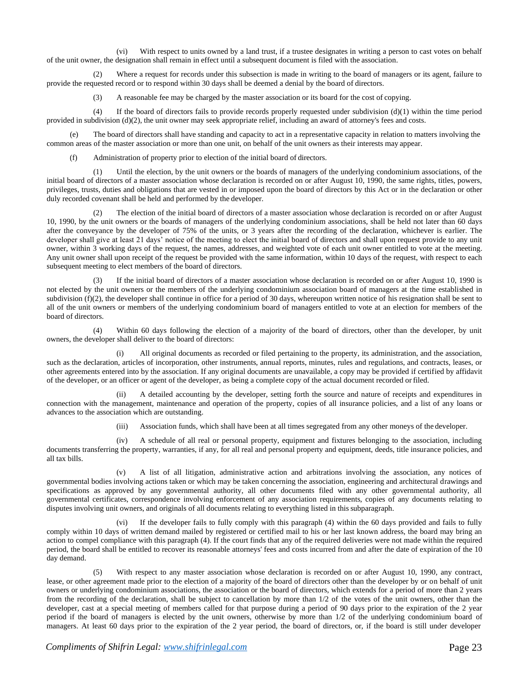(vi) With respect to units owned by a land trust, if a trustee designates in writing a person to cast votes on behalf of the unit owner, the designation shall remain in effect until a subsequent document is filed with the association.

(2) Where a request for records under this subsection is made in writing to the board of managers or its agent, failure to provide the requested record or to respond within 30 days shall be deemed a denial by the board of directors.

(3) A reasonable fee may be charged by the master association or its board for the cost of copying.

(4) If the board of directors fails to provide records properly requested under subdivision  $(d)(1)$  within the time period provided in subdivision  $(d)(2)$ , the unit owner may seek appropriate relief, including an award of attorney's fees and costs.

(e) The board of directors shall have standing and capacity to act in a representative capacity in relation to matters involving the common areas of the master association or more than one unit, on behalf of the unit owners as their interests may appear.

Administration of property prior to election of the initial board of directors.

(1) Until the election, by the unit owners or the boards of managers of the underlying condominium associations, of the initial board of directors of a master association whose declaration is recorded on or after August 10, 1990, the same rights, titles, powers, privileges, trusts, duties and obligations that are vested in or imposed upon the board of directors by this Act or in the declaration or other duly recorded covenant shall be held and performed by the developer.

(2) The election of the initial board of directors of a master association whose declaration is recorded on or after August 10, 1990, by the unit owners or the boards of managers of the underlying condominium associations, shall be held not later than 60 days after the conveyance by the developer of 75% of the units, or 3 years after the recording of the declaration, whichever is earlier. The developer shall give at least 21 days' notice of the meeting to elect the initial board of directors and shall upon request provide to any unit owner, within 3 working days of the request, the names, addresses, and weighted vote of each unit owner entitled to vote at the meeting. Any unit owner shall upon receipt of the request be provided with the same information, within 10 days of the request, with respect to each subsequent meeting to elect members of the board of directors.

(3) If the initial board of directors of a master association whose declaration is recorded on or after August 10, 1990 is not elected by the unit owners or the members of the underlying condominium association board of managers at the time established in subdivision (f)(2), the developer shall continue in office for a period of 30 days, whereupon written notice of his resignation shall be sent to all of the unit owners or members of the underlying condominium board of managers entitled to vote at an election for members of the board of directors.

(4) Within 60 days following the election of a majority of the board of directors, other than the developer, by unit owners, the developer shall deliver to the board of directors:

(i) All original documents as recorded or filed pertaining to the property, its administration, and the association, such as the declaration, articles of incorporation, other instruments, annual reports, minutes, rules and regulations, and contracts, leases, or other agreements entered into by the association. If any original documents are unavailable, a copy may be provided if certified by affidavit of the developer, or an officer or agent of the developer, as being a complete copy of the actual document recorded orfiled.

(ii) A detailed accounting by the developer, setting forth the source and nature of receipts and expenditures in connection with the management, maintenance and operation of the property, copies of all insurance policies, and a list of any loans or advances to the association which are outstanding.

(iii) Association funds, which shall have been at all times segregated from any other moneys of the developer.

(iv) A schedule of all real or personal property, equipment and fixtures belonging to the association, including documents transferring the property, warranties, if any, for all real and personal property and equipment, deeds, title insurance policies, and all tax bills.

(v) A list of all litigation, administrative action and arbitrations involving the association, any notices of governmental bodies involving actions taken or which may be taken concerning the association, engineering and architectural drawings and specifications as approved by any governmental authority, all other documents filed with any other governmental authority, all governmental certificates, correspondence involving enforcement of any association requirements, copies of any documents relating to disputes involving unit owners, and originals of all documents relating to everything listed in thissubparagraph.

(vi) If the developer fails to fully comply with this paragraph (4) within the 60 days provided and fails to fully comply within 10 days of written demand mailed by registered or certified mail to his or her last known address, the board may bring an action to compel compliance with this paragraph (4). If the court finds that any of the required deliveries were not made within the required period, the board shall be entitled to recover its reasonable attorneys' fees and costs incurred from and after the date of expiration of the 10 day demand.

(5) With respect to any master association whose declaration is recorded on or after August 10, 1990, any contract, lease, or other agreement made prior to the election of a majority of the board of directors other than the developer by or on behalf of unit owners or underlying condominium associations, the association or the board of directors, which extends for a period of more than 2 years from the recording of the declaration, shall be subject to cancellation by more than 1/2 of the votes of the unit owners, other than the developer, cast at a special meeting of members called for that purpose during a period of 90 days prior to the expiration of the 2 year period if the board of managers is elected by the unit owners, otherwise by more than 1/2 of the underlying condominium board of managers. At least 60 days prior to the expiration of the 2 year period, the board of directors, or, if the board is still under developer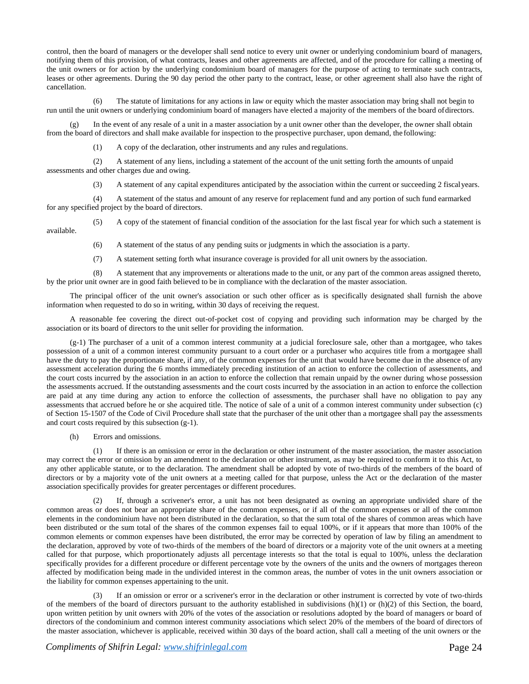control, then the board of managers or the developer shall send notice to every unit owner or underlying condominium board of managers, notifying them of this provision, of what contracts, leases and other agreements are affected, and of the procedure for calling a meeting of the unit owners or for action by the underlying condominium board of managers for the purpose of acting to terminate such contracts, leases or other agreements. During the 90 day period the other party to the contract, lease, or other agreement shall also have the right of cancellation.

(6) The statute of limitations for any actions in law or equity which the master association may bring shall not begin to run until the unit owners or underlying condominium board of managers have elected a majority of the members of the board ofdirectors.

In the event of any resale of a unit in a master association by a unit owner other than the developer, the owner shall obtain from the board of directors and shall make available for inspection to the prospective purchaser, upon demand, the following:

(1) A copy of the declaration, other instruments and any rules and regulations.

(2) A statement of any liens, including a statement of the account of the unit setting forth the amounts of unpaid assessments and other charges due and owing.

(3) A statement of any capital expenditures anticipated by the association within the current or succeeding 2 fiscalyears.

(4) A statement of the status and amount of any reserve for replacement fund and any portion of such fund earmarked for any specified project by the board of directors.

(5) A copy of the statement of financial condition of the association for the last fiscal year for which such a statement is available.

(6) A statement of the status of any pending suits or judgments in which the association is a party.

(7) A statement setting forth what insurance coverage is provided for all unit owners by the association.

(8) A statement that any improvements or alterations made to the unit, or any part of the common areas assigned thereto, by the prior unit owner are in good faith believed to be in compliance with the declaration of the master association.

The principal officer of the unit owner's association or such other officer as is specifically designated shall furnish the above information when requested to do so in writing, within 30 days of receiving the request.

A reasonable fee covering the direct out-of-pocket cost of copying and providing such information may be charged by the association or its board of directors to the unit seller for providing the information.

(g-1) The purchaser of a unit of a common interest community at a judicial foreclosure sale, other than a mortgagee, who takes possession of a unit of a common interest community pursuant to a court order or a purchaser who acquires title from a mortgagee shall have the duty to pay the proportionate share, if any, of the common expenses for the unit that would have become due in the absence of any assessment acceleration during the 6 months immediately preceding institution of an action to enforce the collection of assessments, and the court costs incurred by the association in an action to enforce the collection that remain unpaid by the owner during whose possession the assessments accrued. If the outstanding assessments and the court costs incurred by the association in an action to enforce the collection are paid at any time during any action to enforce the collection of assessments, the purchaser shall have no obligation to pay any assessments that accrued before he or she acquired title. The notice of sale of a unit of a common interest community under subsection (c) of Section 15-1507 of the Code of Civil Procedure shall state that the purchaser of the unit other than a mortgagee shall pay the assessments and court costs required by this subsection (g-1).

(h) Errors and omissions.

(1) If there is an omission or error in the declaration or other instrument of the master association, the master association may correct the error or omission by an amendment to the declaration or other instrument, as may be required to conform it to this Act, to any other applicable statute, or to the declaration. The amendment shall be adopted by vote of two-thirds of the members of the board of directors or by a majority vote of the unit owners at a meeting called for that purpose, unless the Act or the declaration of the master association specifically provides for greater percentages or different procedures.

If, through a scrivener's error, a unit has not been designated as owning an appropriate undivided share of the common areas or does not bear an appropriate share of the common expenses, or if all of the common expenses or all of the common elements in the condominium have not been distributed in the declaration, so that the sum total of the shares of common areas which have been distributed or the sum total of the shares of the common expenses fail to equal 100%, or if it appears that more than 100% of the common elements or common expenses have been distributed, the error may be corrected by operation of law by filing an amendment to the declaration, approved by vote of two-thirds of the members of the board of directors or a majority vote of the unit owners at a meeting called for that purpose, which proportionately adjusts all percentage interests so that the total is equal to 100%, unless the declaration specifically provides for a different procedure or different percentage vote by the owners of the units and the owners of mortgages thereon affected by modification being made in the undivided interest in the common areas, the number of votes in the unit owners association or the liability for common expenses appertaining to the unit.

If an omission or error or a scrivener's error in the declaration or other instrument is corrected by vote of two-thirds of the members of the board of directors pursuant to the authority established in subdivisions  $(h)(1)$  or  $(h)(2)$  of this Section, the board, upon written petition by unit owners with 20% of the votes of the association or resolutions adopted by the board of managers or board of directors of the condominium and common interest community associations which select 20% of the members of the board of directors of the master association, whichever is applicable, received within 30 days of the board action, shall call a meeting of the unit owners or the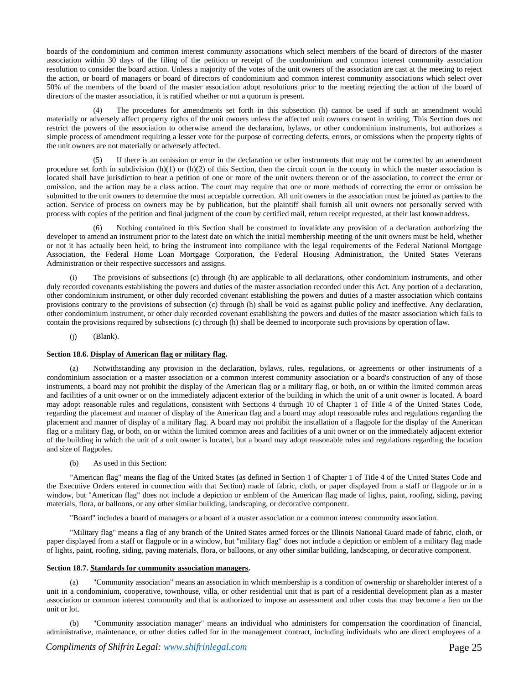boards of the condominium and common interest community associations which select members of the board of directors of the master association within 30 days of the filing of the petition or receipt of the condominium and common interest community association resolution to consider the board action. Unless a majority of the votes of the unit owners of the association are cast at the meeting to reject the action, or board of managers or board of directors of condominium and common interest community associations which select over 50% of the members of the board of the master association adopt resolutions prior to the meeting rejecting the action of the board of directors of the master association, it is ratified whether or not a quorum is present.

(4) The procedures for amendments set forth in this subsection (h) cannot be used if such an amendment would materially or adversely affect property rights of the unit owners unless the affected unit owners consent in writing. This Section does not restrict the powers of the association to otherwise amend the declaration, bylaws, or other condominium instruments, but authorizes a simple process of amendment requiring a lesser vote for the purpose of correcting defects, errors, or omissions when the property rights of the unit owners are not materially or adversely affected.

(5) If there is an omission or error in the declaration or other instruments that may not be corrected by an amendment procedure set forth in subdivision  $(h)(1)$  or  $(h)(2)$  of this Section, then the circuit court in the county in which the master association is located shall have jurisdiction to hear a petition of one or more of the unit owners thereon or of the association, to correct the error or omission, and the action may be a class action. The court may require that one or more methods of correcting the error or omission be submitted to the unit owners to determine the most acceptable correction. All unit owners in the association must be joined as parties to the action. Service of process on owners may be by publication, but the plaintiff shall furnish all unit owners not personally served with process with copies of the petition and final judgment of the court by certified mail, return receipt requested, at their last knownaddress.

(6) Nothing contained in this Section shall be construed to invalidate any provision of a declaration authorizing the developer to amend an instrument prior to the latest date on which the initial membership meeting of the unit owners must be held, whether or not it has actually been held, to bring the instrument into compliance with the legal requirements of the Federal National Mortgage Association, the Federal Home Loan Mortgage Corporation, the Federal Housing Administration, the United States Veterans Administration or their respective successors and assigns.

(i) The provisions of subsections (c) through (h) are applicable to all declarations, other condominium instruments, and other duly recorded covenants establishing the powers and duties of the master association recorded under this Act. Any portion of a declaration, other condominium instrument, or other duly recorded covenant establishing the powers and duties of a master association which contains provisions contrary to the provisions of subsection (c) through (h) shall be void as against public policy and ineffective. Any declaration, other condominium instrument, or other duly recorded covenant establishing the powers and duties of the master association which fails to contain the provisions required by subsections (c) through (h) shall be deemed to incorporate such provisions by operation oflaw.

 $(i)$  (Blank).

# **Section 18.6. Display of American flag or military flag.**

(a) Notwithstanding any provision in the declaration, bylaws, rules, regulations, or agreements or other instruments of a condominium association or a master association or a common interest community association or a board's construction of any of those instruments, a board may not prohibit the display of the American flag or a military flag, or both, on or within the limited common areas and facilities of a unit owner or on the immediately adjacent exterior of the building in which the unit of a unit owner is located. A board may adopt reasonable rules and regulations, consistent with Sections 4 through 10 of Chapter 1 of Title 4 of the United States Code, regarding the placement and manner of display of the American flag and a board may adopt reasonable rules and regulations regarding the placement and manner of display of a military flag. A board may not prohibit the installation of a flagpole for the display of the American flag or a military flag, or both, on or within the limited common areas and facilities of a unit owner or on the immediately adjacent exterior of the building in which the unit of a unit owner is located, but a board may adopt reasonable rules and regulations regarding the location and size of flagpoles.

(b) As used in this Section:

"American flag" means the flag of the United States (as defined in Section 1 of Chapter 1 of Title 4 of the United States Code and the Executive Orders entered in connection with that Section) made of fabric, cloth, or paper displayed from a staff or flagpole or in a window, but "American flag" does not include a depiction or emblem of the American flag made of lights, paint, roofing, siding, paving materials, flora, or balloons, or any other similar building, landscaping, or decorative component.

"Board" includes a board of managers or a board of a master association or a common interest community association.

"Military flag" means a flag of any branch of the United States armed forces or the Illinois National Guard made of fabric, cloth, or paper displayed from a staff or flagpole or in a window, but "military flag" does not include a depiction or emblem of a military flag made of lights, paint, roofing, siding, paving materials, flora, or balloons, or any other similar building, landscaping, or decorative component.

# **Section 18.7. Standards for community association managers.**

(a) "Community association" means an association in which membership is a condition of ownership or shareholder interest of a unit in a condominium, cooperative, townhouse, villa, or other residential unit that is part of a residential development plan as a master association or common interest community and that is authorized to impose an assessment and other costs that may become a lien on the unit or lot.

(b) "Community association manager" means an individual who administers for compensation the coordination of financial, administrative, maintenance, or other duties called for in the management contract, including individuals who are direct employees of a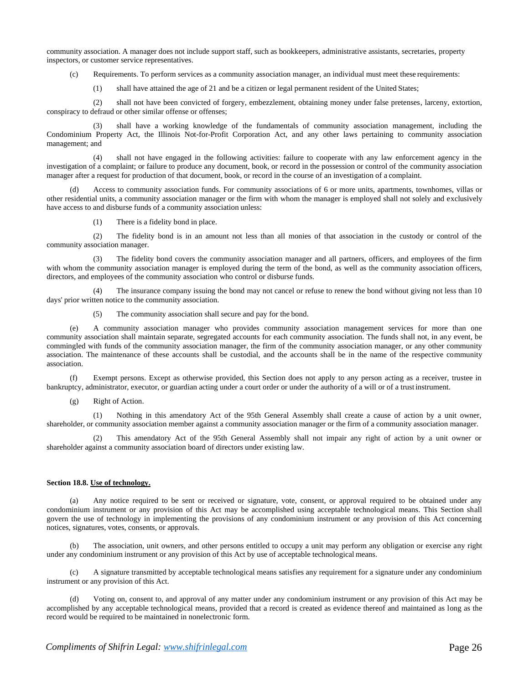community association. A manager does not include support staff, such as bookkeepers, administrative assistants, secretaries, property inspectors, or customer service representatives.

(c) Requirements. To perform services as a community association manager, an individual must meet these requirements:

(1) shall have attained the age of 21 and be a citizen or legal permanent resident of the United States;

(2) shall not have been convicted of forgery, embezzlement, obtaining money under false pretenses, larceny, extortion, conspiracy to defraud or other similar offense or offenses;

shall have a working knowledge of the fundamentals of community association management, including the Condominium Property Act, the Illinois Not-for-Profit Corporation Act, and any other laws pertaining to community association management; and

(4) shall not have engaged in the following activities: failure to cooperate with any law enforcement agency in the investigation of a complaint; or failure to produce any document, book, or record in the possession or control of the community association manager after a request for production of that document, book, or record in the course of an investigation of a complaint.

Access to community association funds. For community associations of 6 or more units, apartments, townhomes, villas or other residential units, a community association manager or the firm with whom the manager is employed shall not solely and exclusively have access to and disburse funds of a community association unless:

(1) There is a fidelity bond in place.

(2) The fidelity bond is in an amount not less than all monies of that association in the custody or control of the community association manager.

The fidelity bond covers the community association manager and all partners, officers, and employees of the firm with whom the community association manager is employed during the term of the bond, as well as the community association officers, directors, and employees of the community association who control or disburse funds.

The insurance company issuing the bond may not cancel or refuse to renew the bond without giving not less than 10 days' prior written notice to the community association.

(5) The community association shall secure and pay for the bond.

(e) A community association manager who provides community association management services for more than one community association shall maintain separate, segregated accounts for each community association. The funds shall not, in any event, be commingled with funds of the community association manager, the firm of the community association manager, or any other community association. The maintenance of these accounts shall be custodial, and the accounts shall be in the name of the respective community association.

(f) Exempt persons. Except as otherwise provided, this Section does not apply to any person acting as a receiver, trustee in bankruptcy, administrator, executor, or guardian acting under a court order or under the authority of a will or of a trust instrument.

(g) Right of Action.

(1) Nothing in this amendatory Act of the 95th General Assembly shall create a cause of action by a unit owner, shareholder, or community association member against a community association manager or the firm of a community association manager.

(2) This amendatory Act of the 95th General Assembly shall not impair any right of action by a unit owner or shareholder against a community association board of directors under existing law.

# **Section 18.8. Use of technology.**

(a) Any notice required to be sent or received or signature, vote, consent, or approval required to be obtained under any condominium instrument or any provision of this Act may be accomplished using acceptable technological means. This Section shall govern the use of technology in implementing the provisions of any condominium instrument or any provision of this Act concerning notices, signatures, votes, consents, or approvals.

The association, unit owners, and other persons entitled to occupy a unit may perform any obligation or exercise any right under any condominium instrument or any provision of this Act by use of acceptable technological means.

(c) A signature transmitted by acceptable technological means satisfies any requirement for a signature under any condominium instrument or any provision of this Act.

Voting on, consent to, and approval of any matter under any condominium instrument or any provision of this Act may be accomplished by any acceptable technological means, provided that a record is created as evidence thereof and maintained as long as the record would be required to be maintained in nonelectronic form.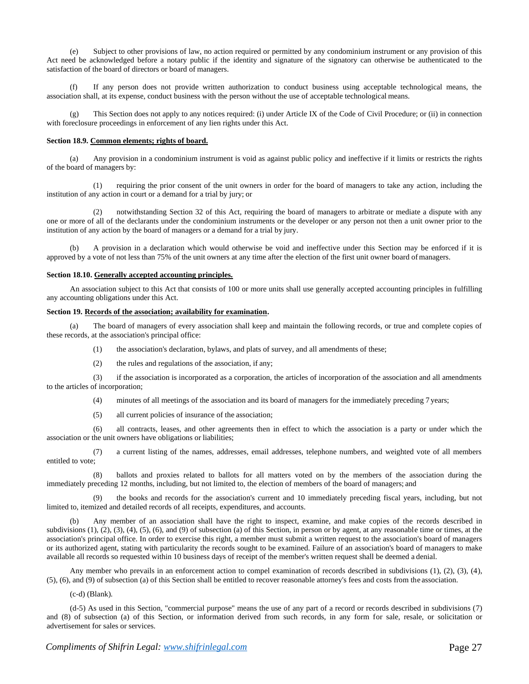(e) Subject to other provisions of law, no action required or permitted by any condominium instrument or any provision of this Act need be acknowledged before a notary public if the identity and signature of the signatory can otherwise be authenticated to the satisfaction of the board of directors or board of managers.

(f) If any person does not provide written authorization to conduct business using acceptable technological means, the association shall, at its expense, conduct business with the person without the use of acceptable technological means.

(g) This Section does not apply to any notices required: (i) under Article IX of the Code of Civil Procedure; or (ii) in connection with foreclosure proceedings in enforcement of any lien rights under this Act.

#### **Section 18.9. Common elements; rights of board.**

(a) Any provision in a condominium instrument is void as against public policy and ineffective if it limits or restricts the rights of the board of managers by:

(1) requiring the prior consent of the unit owners in order for the board of managers to take any action, including the institution of any action in court or a demand for a trial by jury; or

(2) notwithstanding Section 32 of this Act, requiring the board of managers to arbitrate or mediate a dispute with any one or more of all of the declarants under the condominium instruments or the developer or any person not then a unit owner prior to the institution of any action by the board of managers or a demand for a trial by jury.

(b) A provision in a declaration which would otherwise be void and ineffective under this Section may be enforced if it is approved by a vote of not less than 75% of the unit owners at any time after the election of the first unit owner board ofmanagers.

#### **Section 18.10. Generally accepted accounting principles.**

An association subject to this Act that consists of 100 or more units shall use generally accepted accounting principles in fulfilling any accounting obligations under this Act.

## **Section 19. Records of the association; availability for examination.**

The board of managers of every association shall keep and maintain the following records, or true and complete copies of these records, at the association's principal office:

- (1) the association's declaration, bylaws, and plats of survey, and all amendments of these;
- (2) the rules and regulations of the association, if any;

(3) if the association is incorporated as a corporation, the articles of incorporation of the association and all amendments to the articles of incorporation;

(4) minutes of all meetings of the association and its board of managers for the immediately preceding 7 years;

(5) all current policies of insurance of the association;

(6) all contracts, leases, and other agreements then in effect to which the association is a party or under which the association or the unit owners have obligations or liabilities;

(7) a current listing of the names, addresses, email addresses, telephone numbers, and weighted vote of all members entitled to vote;

(8) ballots and proxies related to ballots for all matters voted on by the members of the association during the immediately preceding 12 months, including, but not limited to, the election of members of the board of managers; and

(9) the books and records for the association's current and 10 immediately preceding fiscal years, including, but not limited to, itemized and detailed records of all receipts, expenditures, and accounts.

(b) Any member of an association shall have the right to inspect, examine, and make copies of the records described in subdivisions (1), (2), (3), (4), (5), (6), and (9) of subsection (a) of this Section, in person or by agent, at any reasonable time or times, at the association's principal office. In order to exercise this right, a member must submit a written request to the association's board of managers or its authorized agent, stating with particularity the records sought to be examined. Failure of an association's board of managers to make available all records so requested within 10 business days of receipt of the member's written request shall be deemed a denial.

Any member who prevails in an enforcement action to compel examination of records described in subdivisions (1), (2), (3), (4), (5), (6), and (9) of subsection (a) of this Section shall be entitled to recover reasonable attorney's fees and costs from the association.

(c-d) (Blank).

(d-5) As used in this Section, "commercial purpose" means the use of any part of a record or records described in subdivisions (7) and (8) of subsection (a) of this Section, or information derived from such records, in any form for sale, resale, or solicitation or advertisement for sales or services.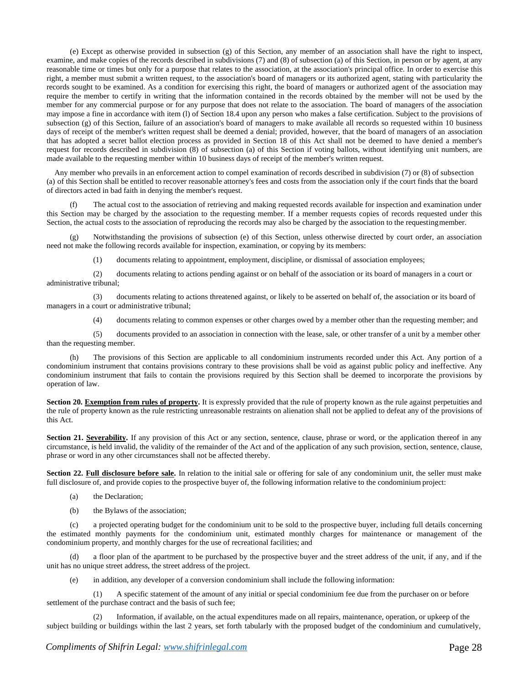(e) Except as otherwise provided in subsection (g) of this Section, any member of an association shall have the right to inspect, examine, and make copies of the records described in subdivisions (7) and (8) of subsection (a) of this Section, in person or by agent, at any reasonable time or times but only for a purpose that relates to the association, at the association's principal office. In order to exercise this right, a member must submit a written request, to the association's board of managers or its authorized agent, stating with particularity the records sought to be examined. As a condition for exercising this right, the board of managers or authorized agent of the association may require the member to certify in writing that the information contained in the records obtained by the member will not be used by the member for any commercial purpose or for any purpose that does not relate to the association. The board of managers of the association may impose a fine in accordance with item (l) of Section 18.4 upon any person who makes a false certification. Subject to the provisions of subsection (g) of this Section, failure of an association's board of managers to make available all records so requested within 10 business days of receipt of the member's written request shall be deemed a denial; provided, however, that the board of managers of an association that has adopted a secret ballot election process as provided in Section 18 of this Act shall not be deemed to have denied a member's request for records described in subdivision (8) of subsection (a) of this Section if voting ballots, without identifying unit numbers, are made available to the requesting member within 10 business days of receipt of the member's written request.

Any member who prevails in an enforcement action to compel examination of records described in subdivision (7) or (8) of subsection (a) of this Section shall be entitled to recover reasonable attorney's fees and costs from the association only if the court finds that the board of directors acted in bad faith in denying the member's request.

(f) The actual cost to the association of retrieving and making requested records available for inspection and examination under this Section may be charged by the association to the requesting member. If a member requests copies of records requested under this Section, the actual costs to the association of reproducing the records may also be charged by the association to the requestingmember.

Notwithstanding the provisions of subsection (e) of this Section, unless otherwise directed by court order, an association need not make the following records available for inspection, examination, or copying by its members:

(1) documents relating to appointment, employment, discipline, or dismissal of association employees;

(2) documents relating to actions pending against or on behalf of the association or its board of managers in a court or administrative tribunal;

(3) documents relating to actions threatened against, or likely to be asserted on behalf of, the association or its board of managers in a court or administrative tribunal;

(4) documents relating to common expenses or other charges owed by a member other than the requesting member; and

(5) documents provided to an association in connection with the lease, sale, or other transfer of a unit by a member other than the requesting member.

The provisions of this Section are applicable to all condominium instruments recorded under this Act. Any portion of a condominium instrument that contains provisions contrary to these provisions shall be void as against public policy and ineffective. Any condominium instrument that fails to contain the provisions required by this Section shall be deemed to incorporate the provisions by operation of law.

**Section 20. Exemption from rules of property.** It is expressly provided that the rule of property known as the rule against perpetuities and the rule of property known as the rule restricting unreasonable restraints on alienation shall not be applied to defeat any of the provisions of this Act.

**Section 21. Severability.** If any provision of this Act or any section, sentence, clause, phrase or word, or the application thereof in any circumstance, is held invalid, the validity of the remainder of the Act and of the application of any such provision, section, sentence, clause, phrase or word in any other circumstances shall not be affected thereby.

Section 22. Full disclosure before sale. In relation to the initial sale or offering for sale of any condominium unit, the seller must make full disclosure of, and provide copies to the prospective buyer of, the following information relative to the condominium project:

- (a) the Declaration;
- (b) the Bylaws of the association;

(c) a projected operating budget for the condominium unit to be sold to the prospective buyer, including full details concerning the estimated monthly payments for the condominium unit, estimated monthly charges for maintenance or management of the condominium property, and monthly charges for the use of recreational facilities; and

(d) a floor plan of the apartment to be purchased by the prospective buyer and the street address of the unit, if any, and if the unit has no unique street address, the street address of the project.

(e) in addition, any developer of a conversion condominium shall include the following information:

(1) A specific statement of the amount of any initial or special condominium fee due from the purchaser on or before settlement of the purchase contract and the basis of such fee;

Information, if available, on the actual expenditures made on all repairs, maintenance, operation, or upkeep of the subject building or buildings within the last 2 years, set forth tabularly with the proposed budget of the condominium and cumulatively,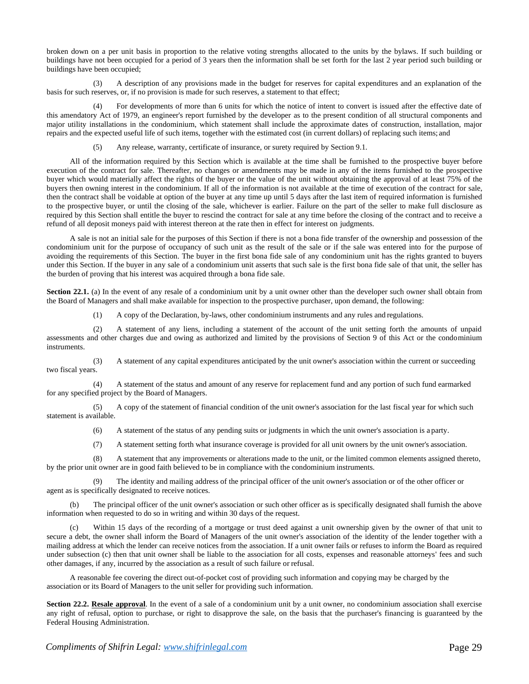broken down on a per unit basis in proportion to the relative voting strengths allocated to the units by the bylaws. If such building or buildings have not been occupied for a period of 3 years then the information shall be set forth for the last 2 year period such building or buildings have been occupied;

(3) A description of any provisions made in the budget for reserves for capital expenditures and an explanation of the basis for such reserves, or, if no provision is made for such reserves, a statement to that effect;

(4) For developments of more than 6 units for which the notice of intent to convert is issued after the effective date of this amendatory Act of 1979, an engineer's report furnished by the developer as to the present condition of all structural components and major utility installations in the condominium, which statement shall include the approximate dates of construction, installation, major repairs and the expected useful life of such items, together with the estimated cost (in current dollars) of replacing such items; and

(5) Any release, warranty, certificate of insurance, or surety required by Section 9.1.

All of the information required by this Section which is available at the time shall be furnished to the prospective buyer before execution of the contract for sale. Thereafter, no changes or amendments may be made in any of the items furnished to the prospective buyer which would materially affect the rights of the buyer or the value of the unit without obtaining the approval of at least 75% of the buyers then owning interest in the condominium. If all of the information is not available at the time of execution of the contract for sale, then the contract shall be voidable at option of the buyer at any time up until 5 days after the last item of required information is furnished to the prospective buyer, or until the closing of the sale, whichever is earlier. Failure on the part of the seller to make full disclosure as required by this Section shall entitle the buyer to rescind the contract for sale at any time before the closing of the contract and to receive a refund of all deposit moneys paid with interest thereon at the rate then in effect for interest on judgments.

A sale is not an initial sale for the purposes of this Section if there is not a bona fide transfer of the ownership and possession of the condominium unit for the purpose of occupancy of such unit as the result of the sale or if the sale was entered into for the purpose of avoiding the requirements of this Section. The buyer in the first bona fide sale of any condominium unit has the rights granted to buyers under this Section. If the buyer in any sale of a condominium unit asserts that such sale is the first bona fide sale of that unit, the seller has the burden of proving that his interest was acquired through a bona fide sale.

**Section 22.1.** (a) In the event of any resale of a condominium unit by a unit owner other than the developer such owner shall obtain from the Board of Managers and shall make available for inspection to the prospective purchaser, upon demand, the following:

(1) A copy of the Declaration, by-laws, other condominium instruments and any rules and regulations.

(2) A statement of any liens, including a statement of the account of the unit setting forth the amounts of unpaid assessments and other charges due and owing as authorized and limited by the provisions of Section 9 of this Act or the condominium instruments.

(3) A statement of any capital expenditures anticipated by the unit owner's association within the current or succeeding two fiscal years.

(4) A statement of the status and amount of any reserve for replacement fund and any portion of such fund earmarked for any specified project by the Board of Managers.

(5) A copy of the statement of financial condition of the unit owner's association for the last fiscal year for which such statement is available.

(6) A statement of the status of any pending suits or judgments in which the unit owner's association is a party.

(7) A statement setting forth what insurance coverage is provided for all unit owners by the unit owner's association.

(8) A statement that any improvements or alterations made to the unit, or the limited common elements assigned thereto, by the prior unit owner are in good faith believed to be in compliance with the condominium instruments.

The identity and mailing address of the principal officer of the unit owner's association or of the other officer or agent as is specifically designated to receive notices.

(b) The principal officer of the unit owner's association or such other officer as is specifically designated shall furnish the above information when requested to do so in writing and within 30 days of the request.

(c) Within 15 days of the recording of a mortgage or trust deed against a unit ownership given by the owner of that unit to secure a debt, the owner shall inform the Board of Managers of the unit owner's association of the identity of the lender together with a mailing address at which the lender can receive notices from the association. If a unit owner fails or refuses to inform the Board as required under subsection (c) then that unit owner shall be liable to the association for all costs, expenses and reasonable attorneys' fees and such other damages, if any, incurred by the association as a result of such failure or refusal.

A reasonable fee covering the direct out-of-pocket cost of providing such information and copying may be charged by the association or its Board of Managers to the unit seller for providing such information.

**Section 22.2. Resale approval**. In the event of a sale of a condominium unit by a unit owner, no condominium association shall exercise any right of refusal, option to purchase, or right to disapprove the sale, on the basis that the purchaser's financing is guaranteed by the Federal Housing Administration.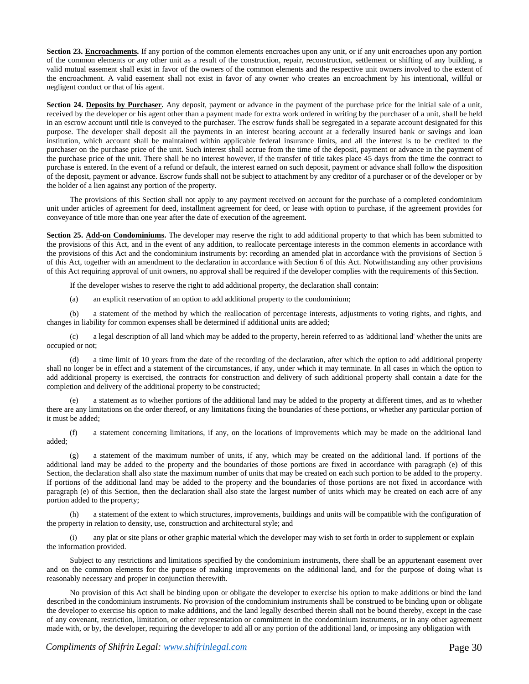**Section 23. Encroachments.** If any portion of the common elements encroaches upon any unit, or if any unit encroaches upon any portion of the common elements or any other unit as a result of the construction, repair, reconstruction, settlement or shifting of any building, a valid mutual easement shall exist in favor of the owners of the common elements and the respective unit owners involved to the extent of the encroachment. A valid easement shall not exist in favor of any owner who creates an encroachment by his intentional, willful or negligent conduct or that of his agent.

**Section 24. Deposits by Purchaser.** Any deposit, payment or advance in the payment of the purchase price for the initial sale of a unit, received by the developer or his agent other than a payment made for extra work ordered in writing by the purchaser of a unit, shall be held in an escrow account until title is conveyed to the purchaser. The escrow funds shall be segregated in a separate account designated for this purpose. The developer shall deposit all the payments in an interest bearing account at a federally insured bank or savings and loan institution, which account shall be maintained within applicable federal insurance limits, and all the interest is to be credited to the purchaser on the purchase price of the unit. Such interest shall accrue from the time of the deposit, payment or advance in the payment of the purchase price of the unit. There shall be no interest however, if the transfer of title takes place 45 days from the time the contract to purchase is entered. In the event of a refund or default, the interest earned on such deposit, payment or advance shall follow the disposition of the deposit, payment or advance. Escrow funds shall not be subject to attachment by any creditor of a purchaser or of the developer or by the holder of a lien against any portion of the property.

The provisions of this Section shall not apply to any payment received on account for the purchase of a completed condominium unit under articles of agreement for deed, installment agreement for deed, or lease with option to purchase, if the agreement provides for conveyance of title more than one year after the date of execution of the agreement.

**Section 25. Add-on Condominiums.** The developer may reserve the right to add additional property to that which has been submitted to the provisions of this Act, and in the event of any addition, to reallocate percentage interests in the common elements in accordance with the provisions of this Act and the condominium instruments by: recording an amended plat in accordance with the provisions of Section 5 of this Act, together with an amendment to the declaration in accordance with Section 6 of this Act. Notwithstanding any other provisions of this Act requiring approval of unit owners, no approval shall be required if the developer complies with the requirements of thisSection.

If the developer wishes to reserve the right to add additional property, the declaration shall contain:

(a) an explicit reservation of an option to add additional property to the condominium;

(b) a statement of the method by which the reallocation of percentage interests, adjustments to voting rights, and rights, and changes in liability for common expenses shall be determined if additional units are added;

(c) a legal description of all land which may be added to the property, herein referred to as 'additional land' whether the units are occupied or not;

(d) a time limit of 10 years from the date of the recording of the declaration, after which the option to add additional property shall no longer be in effect and a statement of the circumstances, if any, under which it may terminate. In all cases in which the option to add additional property is exercised, the contracts for construction and delivery of such additional property shall contain a date for the completion and delivery of the additional property to be constructed;

a statement as to whether portions of the additional land may be added to the property at different times, and as to whether there are any limitations on the order thereof, or any limitations fixing the boundaries of these portions, or whether any particular portion of it must be added;

(f) a statement concerning limitations, if any, on the locations of improvements which may be made on the additional land added;

(g) a statement of the maximum number of units, if any, which may be created on the additional land. If portions of the additional land may be added to the property and the boundaries of those portions are fixed in accordance with paragraph (e) of this Section, the declaration shall also state the maximum number of units that may be created on each such portion to be added to the property. If portions of the additional land may be added to the property and the boundaries of those portions are not fixed in accordance with paragraph (e) of this Section, then the declaration shall also state the largest number of units which may be created on each acre of any portion added to the property;

(h) a statement of the extent to which structures, improvements, buildings and units will be compatible with the configuration of the property in relation to density, use, construction and architectural style; and

any plat or site plans or other graphic material which the developer may wish to set forth in order to supplement or explain the information provided.

Subject to any restrictions and limitations specified by the condominium instruments, there shall be an appurtenant easement over and on the common elements for the purpose of making improvements on the additional land, and for the purpose of doing what is reasonably necessary and proper in conjunction therewith.

No provision of this Act shall be binding upon or obligate the developer to exercise his option to make additions or bind the land described in the condominium instruments. No provision of the condominium instruments shall be construed to be binding upon or obligate the developer to exercise his option to make additions, and the land legally described therein shall not be bound thereby, except in the case of any covenant, restriction, limitation, or other representation or commitment in the condominium instruments, or in any other agreement made with, or by, the developer, requiring the developer to add all or any portion of the additional land, or imposing any obligation with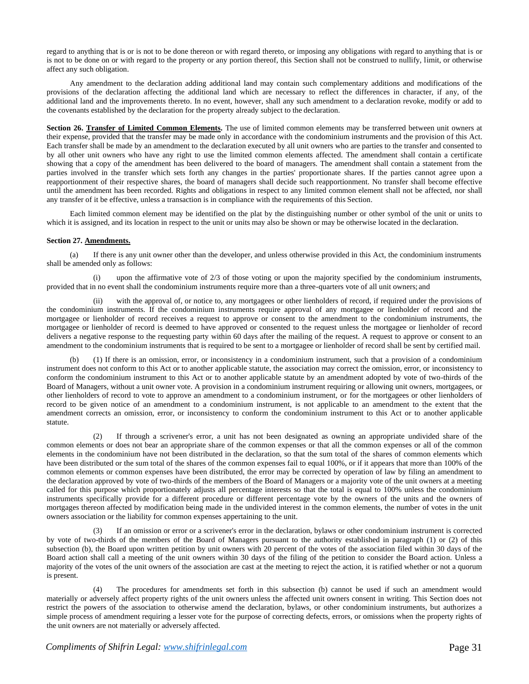regard to anything that is or is not to be done thereon or with regard thereto, or imposing any obligations with regard to anything that is or is not to be done on or with regard to the property or any portion thereof, this Section shall not be construed to nullify, limit, or otherwise affect any such obligation.

Any amendment to the declaration adding additional land may contain such complementary additions and modifications of the provisions of the declaration affecting the additional land which are necessary to reflect the differences in character, if any, of the additional land and the improvements thereto. In no event, however, shall any such amendment to a declaration revoke, modify or add to the covenants established by the declaration for the property already subject to the declaration.

**Section 26. Transfer of Limited Common Elements.** The use of limited common elements may be transferred between unit owners at their expense, provided that the transfer may be made only in accordance with the condominium instruments and the provision of this Act. Each transfer shall be made by an amendment to the declaration executed by all unit owners who are parties to the transfer and consented to by all other unit owners who have any right to use the limited common elements affected. The amendment shall contain a certificate showing that a copy of the amendment has been delivered to the board of managers. The amendment shall contain a statement from the parties involved in the transfer which sets forth any changes in the parties' proportionate shares. If the parties cannot agree upon a reapportionment of their respective shares, the board of managers shall decide such reapportionment. No transfer shall become effective until the amendment has been recorded. Rights and obligations in respect to any limited common element shall not be affected, nor shall any transfer of it be effective, unless a transaction is in compliance with the requirements of this Section.

Each limited common element may be identified on the plat by the distinguishing number or other symbol of the unit or units to which it is assigned, and its location in respect to the unit or units may also be shown or may be otherwise located in the declaration.

# **Section 27. Amendments.**

(a) If there is any unit owner other than the developer, and unless otherwise provided in this Act, the condominium instruments shall be amended only as follows:

upon the affirmative vote of  $2/3$  of those voting or upon the majority specified by the condominium instruments, provided that in no event shall the condominium instruments require more than a three-quarters vote of all unit owners; and

with the approval of, or notice to, any mortgagees or other lienholders of record, if required under the provisions of the condominium instruments. If the condominium instruments require approval of any mortgagee or lienholder of record and the mortgagee or lienholder of record receives a request to approve or consent to the amendment to the condominium instruments, the mortgagee or lienholder of record is deemed to have approved or consented to the request unless the mortgagee or lienholder of record delivers a negative response to the requesting party within 60 days after the mailing of the request. A request to approve or consent to an amendment to the condominium instruments that is required to be sent to a mortgagee or lienholder of record shall be sent by certified mail.

(b) (1) If there is an omission, error, or inconsistency in a condominium instrument, such that a provision of a condominium instrument does not conform to this Act or to another applicable statute, the association may correct the omission, error, or inconsistency to conform the condominium instrument to this Act or to another applicable statute by an amendment adopted by vote of two-thirds of the Board of Managers, without a unit owner vote. A provision in a condominium instrument requiring or allowing unit owners, mortgagees, or other lienholders of record to vote to approve an amendment to a condominium instrument, or for the mortgagees or other lienholders of record to be given notice of an amendment to a condominium instrument, is not applicable to an amendment to the extent that the amendment corrects an omission, error, or inconsistency to conform the condominium instrument to this Act or to another applicable statute.

(2) If through a scrivener's error, a unit has not been designated as owning an appropriate undivided share of the common elements or does not bear an appropriate share of the common expenses or that all the common expenses or all of the common elements in the condominium have not been distributed in the declaration, so that the sum total of the shares of common elements which have been distributed or the sum total of the shares of the common expenses fail to equal 100%, or if it appears that more than 100% of the common elements or common expenses have been distributed, the error may be corrected by operation of law by filing an amendment to the declaration approved by vote of two-thirds of the members of the Board of Managers or a majority vote of the unit owners at a meeting called for this purpose which proportionately adjusts all percentage interests so that the total is equal to 100% unless the condominium instruments specifically provide for a different procedure or different percentage vote by the owners of the units and the owners of mortgages thereon affected by modification being made in the undivided interest in the common elements, the number of votes in the unit owners association or the liability for common expenses appertaining to the unit.

If an omission or error or a scrivener's error in the declaration, bylaws or other condominium instrument is corrected by vote of two-thirds of the members of the Board of Managers pursuant to the authority established in paragraph (1) or (2) of this subsection (b), the Board upon written petition by unit owners with 20 percent of the votes of the association filed within 30 days of the Board action shall call a meeting of the unit owners within 30 days of the filing of the petition to consider the Board action. Unless a majority of the votes of the unit owners of the association are cast at the meeting to reject the action, it is ratified whether or not a quorum is present.

(4) The procedures for amendments set forth in this subsection (b) cannot be used if such an amendment would materially or adversely affect property rights of the unit owners unless the affected unit owners consent in writing. This Section does not restrict the powers of the association to otherwise amend the declaration, bylaws, or other condominium instruments, but authorizes a simple process of amendment requiring a lesser vote for the purpose of correcting defects, errors, or omissions when the property rights of the unit owners are not materially or adversely affected.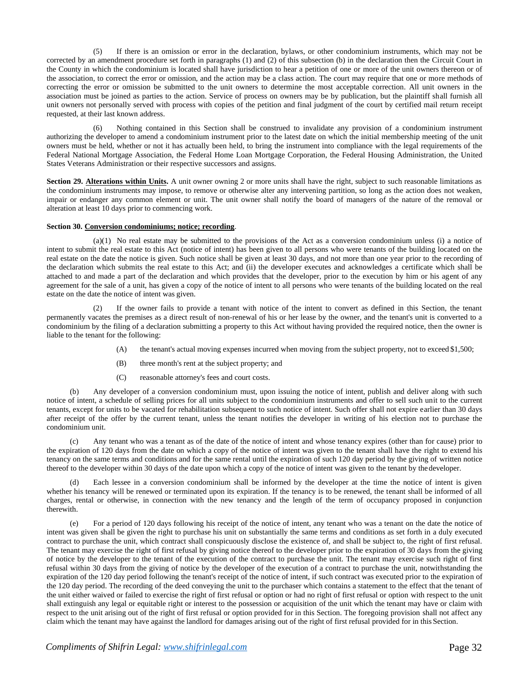(5) If there is an omission or error in the declaration, bylaws, or other condominium instruments, which may not be corrected by an amendment procedure set forth in paragraphs (1) and (2) of this subsection (b) in the declaration then the Circuit Court in the County in which the condominium is located shall have jurisdiction to hear a petition of one or more of the unit owners thereon or of the association, to correct the error or omission, and the action may be a class action. The court may require that one or more methods of correcting the error or omission be submitted to the unit owners to determine the most acceptable correction. All unit owners in the association must be joined as parties to the action. Service of process on owners may be by publication, but the plaintiff shall furnish all unit owners not personally served with process with copies of the petition and final judgment of the court by certified mail return receipt requested, at their last known address.

(6) Nothing contained in this Section shall be construed to invalidate any provision of a condominium instrument authorizing the developer to amend a condominium instrument prior to the latest date on which the initial membership meeting of the unit owners must be held, whether or not it has actually been held, to bring the instrument into compliance with the legal requirements of the Federal National Mortgage Association, the Federal Home Loan Mortgage Corporation, the Federal Housing Administration, the United States Veterans Administration or their respective successors and assigns.

**Section 29. Alterations within Units.** A unit owner owning 2 or more units shall have the right, subject to such reasonable limitations as the condominium instruments may impose, to remove or otherwise alter any intervening partition, so long as the action does not weaken, impair or endanger any common element or unit. The unit owner shall notify the board of managers of the nature of the removal or alteration at least 10 days prior to commencing work.

## **Section 30. Conversion condominiums; notice; recording**.

 $(a)(1)$  No real estate may be submitted to the provisions of the Act as a conversion condominium unless (i) a notice of intent to submit the real estate to this Act (notice of intent) has been given to all persons who were tenants of the building located on the real estate on the date the notice is given. Such notice shall be given at least 30 days, and not more than one year prior to the recording of the declaration which submits the real estate to this Act; and (ii) the developer executes and acknowledges a certificate which shall be attached to and made a part of the declaration and which provides that the developer, prior to the execution by him or his agent of any agreement for the sale of a unit, has given a copy of the notice of intent to all persons who were tenants of the building located on the real estate on the date the notice of intent was given.

If the owner fails to provide a tenant with notice of the intent to convert as defined in this Section, the tenant permanently vacates the premises as a direct result of non-renewal of his or her lease by the owner, and the tenant's unit is converted to a condominium by the filing of a declaration submitting a property to this Act without having provided the required notice, then the owner is liable to the tenant for the following:

- (A) the tenant's actual moving expenses incurred when moving from the subject property, not to exceed \$1,500;
- (B) three month's rent at the subject property; and
- (C) reasonable attorney's fees and court costs.

Any developer of a conversion condominium must, upon issuing the notice of intent, publish and deliver along with such notice of intent, a schedule of selling prices for all units subject to the condominium instruments and offer to sell such unit to the current tenants, except for units to be vacated for rehabilitation subsequent to such notice of intent. Such offer shall not expire earlier than 30 days after receipt of the offer by the current tenant, unless the tenant notifies the developer in writing of his election not to purchase the condominium unit.

(c) Any tenant who was a tenant as of the date of the notice of intent and whose tenancy expires (other than for cause) prior to the expiration of 120 days from the date on which a copy of the notice of intent was given to the tenant shall have the right to extend his tenancy on the same terms and conditions and for the same rental until the expiration of such 120 day period by the giving of written notice thereof to the developer within 30 days of the date upon which a copy of the notice of intent was given to the tenant by thedeveloper.

Each lessee in a conversion condominium shall be informed by the developer at the time the notice of intent is given whether his tenancy will be renewed or terminated upon its expiration. If the tenancy is to be renewed, the tenant shall be informed of all charges, rental or otherwise, in connection with the new tenancy and the length of the term of occupancy proposed in conjunction therewith.

(e) For a period of 120 days following his receipt of the notice of intent, any tenant who was a tenant on the date the notice of intent was given shall be given the right to purchase his unit on substantially the same terms and conditions as set forth in a duly executed contract to purchase the unit, which contract shall conspicuously disclose the existence of, and shall be subject to, the right of first refusal. The tenant may exercise the right of first refusal by giving notice thereof to the developer prior to the expiration of 30 days from the giving of notice by the developer to the tenant of the execution of the contract to purchase the unit. The tenant may exercise such right of first refusal within 30 days from the giving of notice by the developer of the execution of a contract to purchase the unit, notwithstanding the expiration of the 120 day period following the tenant's receipt of the notice of intent, if such contract was executed prior to the expiration of the 120 day period. The recording of the deed conveying the unit to the purchaser which contains a statement to the effect that the tenant of the unit either waived or failed to exercise the right of first refusal or option or had no right of first refusal or option with respect to the unit shall extinguish any legal or equitable right or interest to the possession or acquisition of the unit which the tenant may have or claim with respect to the unit arising out of the right of first refusal or option provided for in this Section. The foregoing provision shall not affect any claim which the tenant may have against the landlord for damages arising out of the right of first refusal provided for in this Section.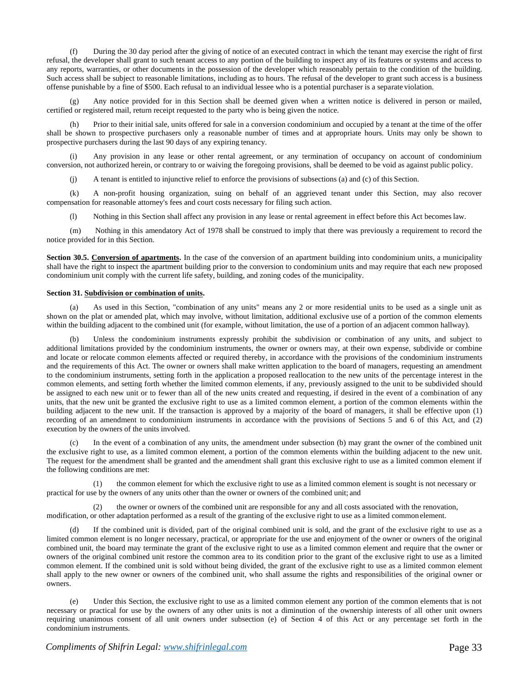(f) During the 30 day period after the giving of notice of an executed contract in which the tenant may exercise the right of first refusal, the developer shall grant to such tenant access to any portion of the building to inspect any of its features or systems and access to any reports, warranties, or other documents in the possession of the developer which reasonably pertain to the condition of the building. Such access shall be subject to reasonable limitations, including as to hours. The refusal of the developer to grant such access is a business offense punishable by a fine of \$500. Each refusal to an individual lessee who is a potential purchaser is a separate violation.

(g) Any notice provided for in this Section shall be deemed given when a written notice is delivered in person or mailed, certified or registered mail, return receipt requested to the party who is being given the notice.

(h) Prior to their initial sale, units offered for sale in a conversion condominium and occupied by a tenant at the time of the offer shall be shown to prospective purchasers only a reasonable number of times and at appropriate hours. Units may only be shown to prospective purchasers during the last 90 days of any expiring tenancy.

(i) Any provision in any lease or other rental agreement, or any termination of occupancy on account of condominium conversion, not authorized herein, or contrary to or waiving the foregoing provisions, shall be deemed to be void as against public policy.

(j) A tenant is entitled to injunctive relief to enforce the provisions of subsections (a) and (c) of this Section.

(k) A non-profit housing organization, suing on behalf of an aggrieved tenant under this Section, may also recover compensation for reasonable attorney's fees and court costs necessary for filing such action.

(l) Nothing in this Section shall affect any provision in any lease or rental agreement in effect before this Act becomeslaw.

(m) Nothing in this amendatory Act of 1978 shall be construed to imply that there was previously a requirement to record the notice provided for in this Section.

**Section 30.5. Conversion of apartments.** In the case of the conversion of an apartment building into condominium units, a municipality shall have the right to inspect the apartment building prior to the conversion to condominium units and may require that each new proposed condominium unit comply with the current life safety, building, and zoning codes of the municipality.

#### **Section 31. Subdivision or combination of units.**

(a) As used in this Section, "combination of any units" means any 2 or more residential units to be used as a single unit as shown on the plat or amended plat, which may involve, without limitation, additional exclusive use of a portion of the common elements within the building adjacent to the combined unit (for example, without limitation, the use of a portion of an adjacent common hallway).

Unless the condominium instruments expressly prohibit the subdivision or combination of any units, and subject to additional limitations provided by the condominium instruments, the owner or owners may, at their own expense, subdivide or combine and locate or relocate common elements affected or required thereby, in accordance with the provisions of the condominium instruments and the requirements of this Act. The owner or owners shall make written application to the board of managers, requesting an amendment to the condominium instruments, setting forth in the application a proposed reallocation to the new units of the percentage interest in the common elements, and setting forth whether the limited common elements, if any, previously assigned to the unit to be subdivided should be assigned to each new unit or to fewer than all of the new units created and requesting, if desired in the event of a combination of any units, that the new unit be granted the exclusive right to use as a limited common element, a portion of the common elements within the building adjacent to the new unit. If the transaction is approved by a majority of the board of managers, it shall be effective upon (1) recording of an amendment to condominium instruments in accordance with the provisions of Sections 5 and 6 of this Act, and (2) execution by the owners of the units involved.

(c) In the event of a combination of any units, the amendment under subsection (b) may grant the owner of the combined unit the exclusive right to use, as a limited common element, a portion of the common elements within the building adjacent to the new unit. The request for the amendment shall be granted and the amendment shall grant this exclusive right to use as a limited common element if the following conditions are met:

(1) the common element for which the exclusive right to use as a limited common element is sought is not necessary or practical for use by the owners of any units other than the owner or owners of the combined unit; and

(2) the owner or owners of the combined unit are responsible for any and all costs associated with the renovation, modification, or other adaptation performed as a result of the granting of the exclusive right to use as a limited commonelement.

(d) If the combined unit is divided, part of the original combined unit is sold, and the grant of the exclusive right to use as a limited common element is no longer necessary, practical, or appropriate for the use and enjoyment of the owner or owners of the original combined unit, the board may terminate the grant of the exclusive right to use as a limited common element and require that the owner or owners of the original combined unit restore the common area to its condition prior to the grant of the exclusive right to use as a limited common element. If the combined unit is sold without being divided, the grant of the exclusive right to use as a limited common element shall apply to the new owner or owners of the combined unit, who shall assume the rights and responsibilities of the original owner or owners.

Under this Section, the exclusive right to use as a limited common element any portion of the common elements that is not necessary or practical for use by the owners of any other units is not a diminution of the ownership interests of all other unit owners requiring unanimous consent of all unit owners under subsection (e) of Section 4 of this Act or any percentage set forth in the condominium instruments.